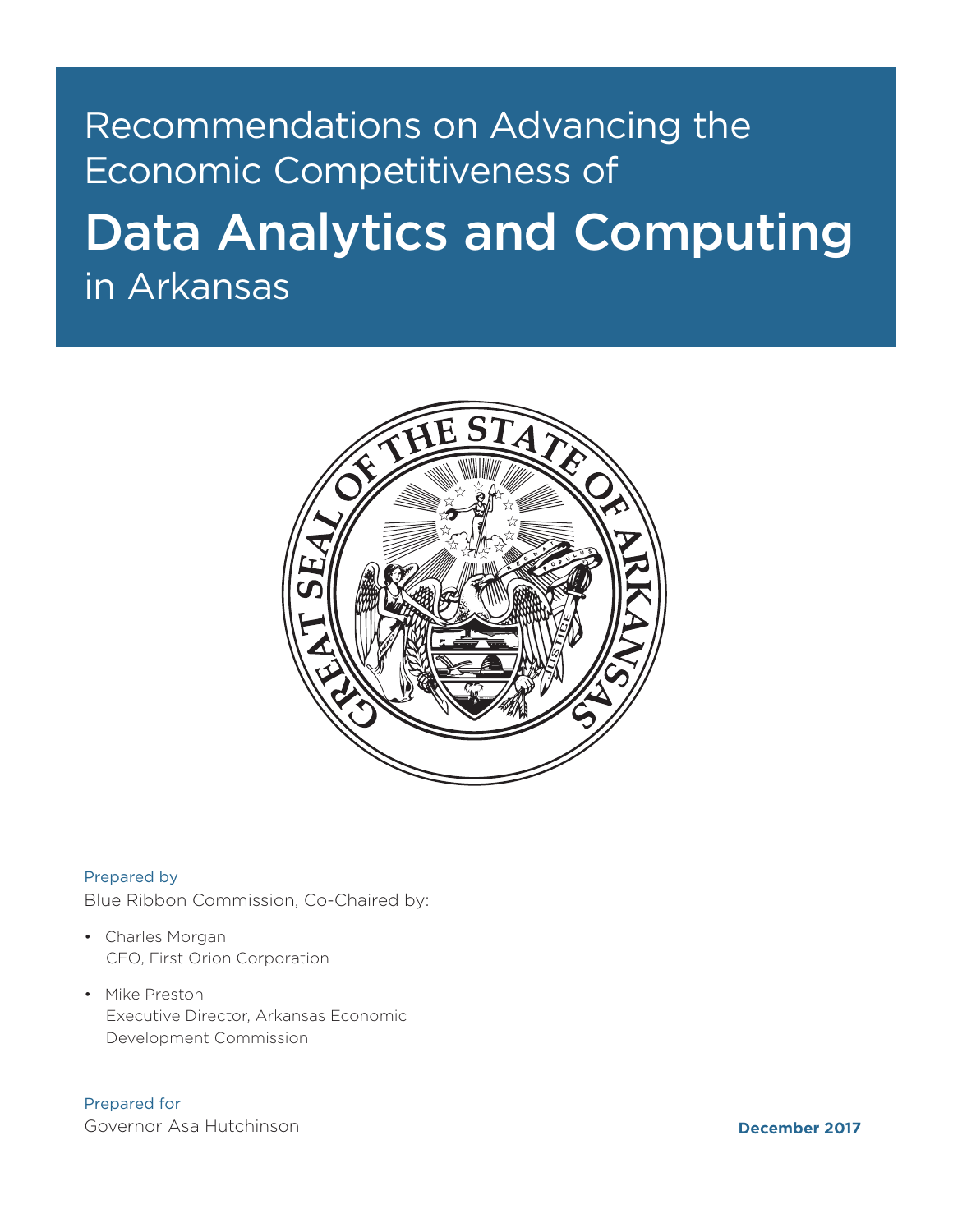## Recommendations on Advancing the Economic Competitiveness of

# Data Analytics and Computing in Arkansas



Prepared by

Blue Ribbon Commission, Co-Chaired by:

- Charles Morgan CEO, First Orion Corporation
- Mike Preston Executive Director, Arkansas Economic Development Commission

Prepared for

Governor Asa Hutchinson

**December 2017**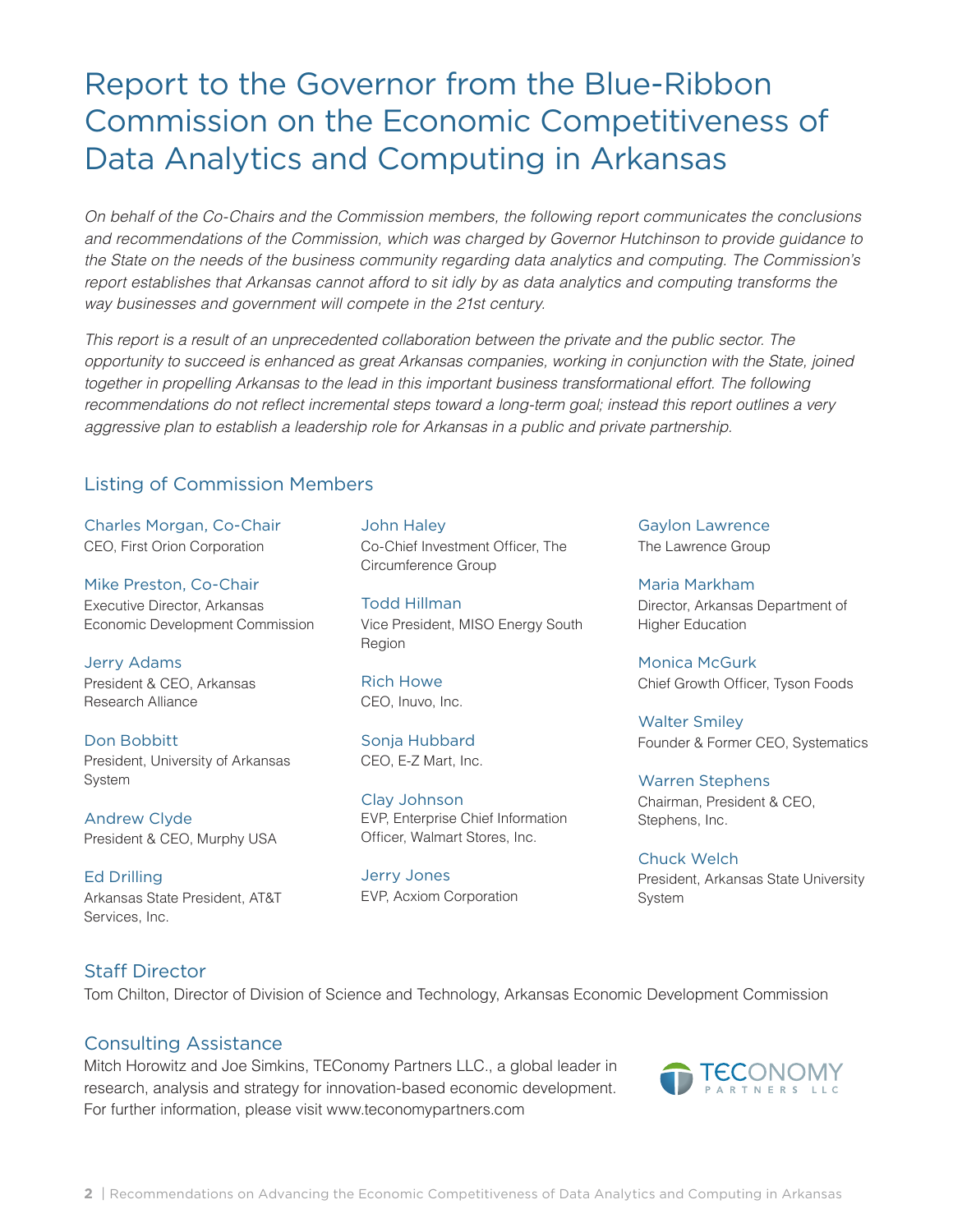## Report to the Governor from the Blue-Ribbon Commission on the Economic Competitiveness of Data Analytics and Computing in Arkansas

*On behalf of the Co-Chairs and the Commission members, the following report communicates the conclusions and recommendations of the Commission, which was charged by Governor Hutchinson to provide guidance to the State on the needs of the business community regarding data analytics and computing. The Commission's report establishes that Arkansas cannot afford to sit idly by as data analytics and computing transforms the way businesses and government will compete in the 21st century.* 

*This report is a result of an unprecedented collaboration between the private and the public sector. The opportunity to succeed is enhanced as great Arkansas companies, working in conjunction with the State, joined together in propelling Arkansas to the lead in this important business transformational effort. The following* recommendations do not reflect incremental steps toward a long-term goal; instead this report outlines a very *aggressive plan to establish a leadership role for Arkansas in a public and private partnership.* 

### Listing of Commission Members

Charles Morgan, Co-Chair CEO, First Orion Corporation

Mike Preston, Co-Chair Executive Director, Arkansas Economic Development Commission

Jerry Adams President & CEO, Arkansas Research Alliance

Don Bobbitt President, University of Arkansas System

Andrew Clyde President & CEO, Murphy USA

Ed Drilling Arkansas State President, AT&T Services, Inc.

John Haley Co-Chief Investment Officer, The Circumference Group

Todd Hillman Vice President, MISO Energy South Region

Rich Howe CEO, Inuvo, Inc.

Sonja Hubbard CEO, E-Z Mart, Inc.

Clay Johnson EVP, Enterprise Chief Information Officer, Walmart Stores, Inc.

Jerry Jones EVP, Acxiom Corporation Gaylon Lawrence The Lawrence Group

Maria Markham Director, Arkansas Department of Higher Education

Monica McGurk Chief Growth Officer, Tyson Foods

Walter Smiley Founder & Former CEO, Systematics

Warren Stephens Chairman, President & CEO, Stephens, Inc.

Chuck Welch President, Arkansas State University System

#### Staff Director

Tom Chilton, Director of Division of Science and Technology, Arkansas Economic Development Commission

#### Consulting Assistance

Mitch Horowitz and Joe Simkins, TEConomy Partners LLC., a global leader in research, analysis and strategy for innovation-based economic development. For further information, please visit www.teconomypartners.com

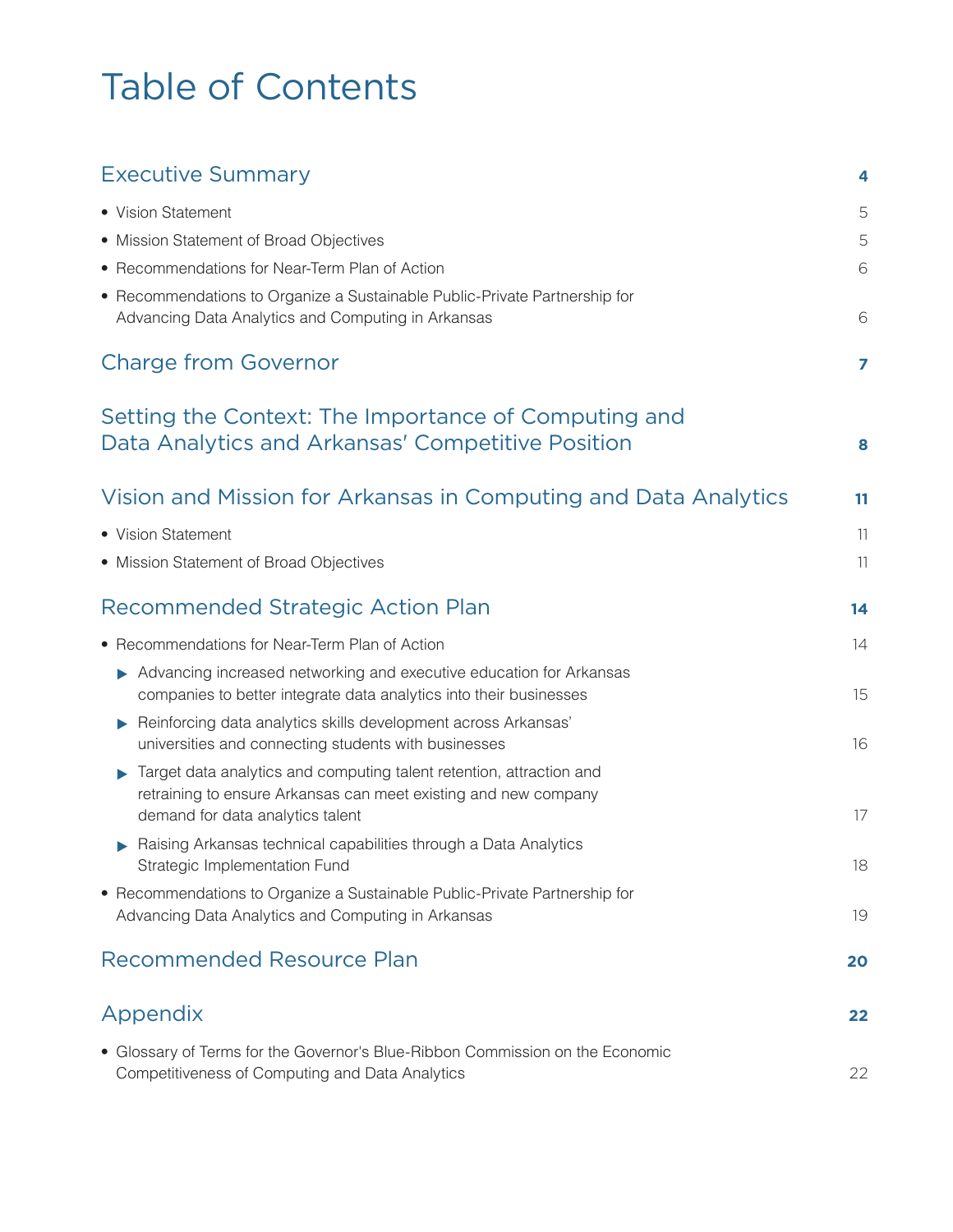# Table of Contents

| <b>Executive Summary</b>                                                                                                                                                                             | 4              |
|------------------------------------------------------------------------------------------------------------------------------------------------------------------------------------------------------|----------------|
| • Vision Statement                                                                                                                                                                                   | 5              |
| • Mission Statement of Broad Objectives                                                                                                                                                              | 5              |
| • Recommendations for Near-Term Plan of Action                                                                                                                                                       | 6              |
| • Recommendations to Organize a Sustainable Public-Private Partnership for<br>Advancing Data Analytics and Computing in Arkansas                                                                     | 6              |
| <b>Charge from Governor</b>                                                                                                                                                                          | $\overline{ }$ |
| Setting the Context: The Importance of Computing and<br>Data Analytics and Arkansas' Competitive Position                                                                                            | 8              |
| Vision and Mission for Arkansas in Computing and Data Analytics                                                                                                                                      | 11             |
| • Vision Statement                                                                                                                                                                                   | 11             |
| • Mission Statement of Broad Objectives                                                                                                                                                              | 11             |
| Recommended Strategic Action Plan                                                                                                                                                                    | 14             |
| • Recommendations for Near-Term Plan of Action                                                                                                                                                       | 14             |
| Advancing increased networking and executive education for Arkansas<br>companies to better integrate data analytics into their businesses                                                            | 15             |
| Reinforcing data analytics skills development across Arkansas'<br>universities and connecting students with businesses                                                                               | 16             |
| Target data analytics and computing talent retention, attraction and<br>$\blacktriangleright$<br>retraining to ensure Arkansas can meet existing and new company<br>demand for data analytics talent | 17             |
| Raising Arkansas technical capabilities through a Data Analytics<br>Strategic Implementation Fund                                                                                                    | 18             |
| • Recommendations to Organize a Sustainable Public-Private Partnership for<br>Advancing Data Analytics and Computing in Arkansas                                                                     | 19             |
| <b>Recommended Resource Plan</b>                                                                                                                                                                     | 20             |
| Appendix                                                                                                                                                                                             | 22             |
| • Glossary of Terms for the Governor's Blue-Ribbon Commission on the Economic<br>Competitiveness of Computing and Data Analytics                                                                     | 22             |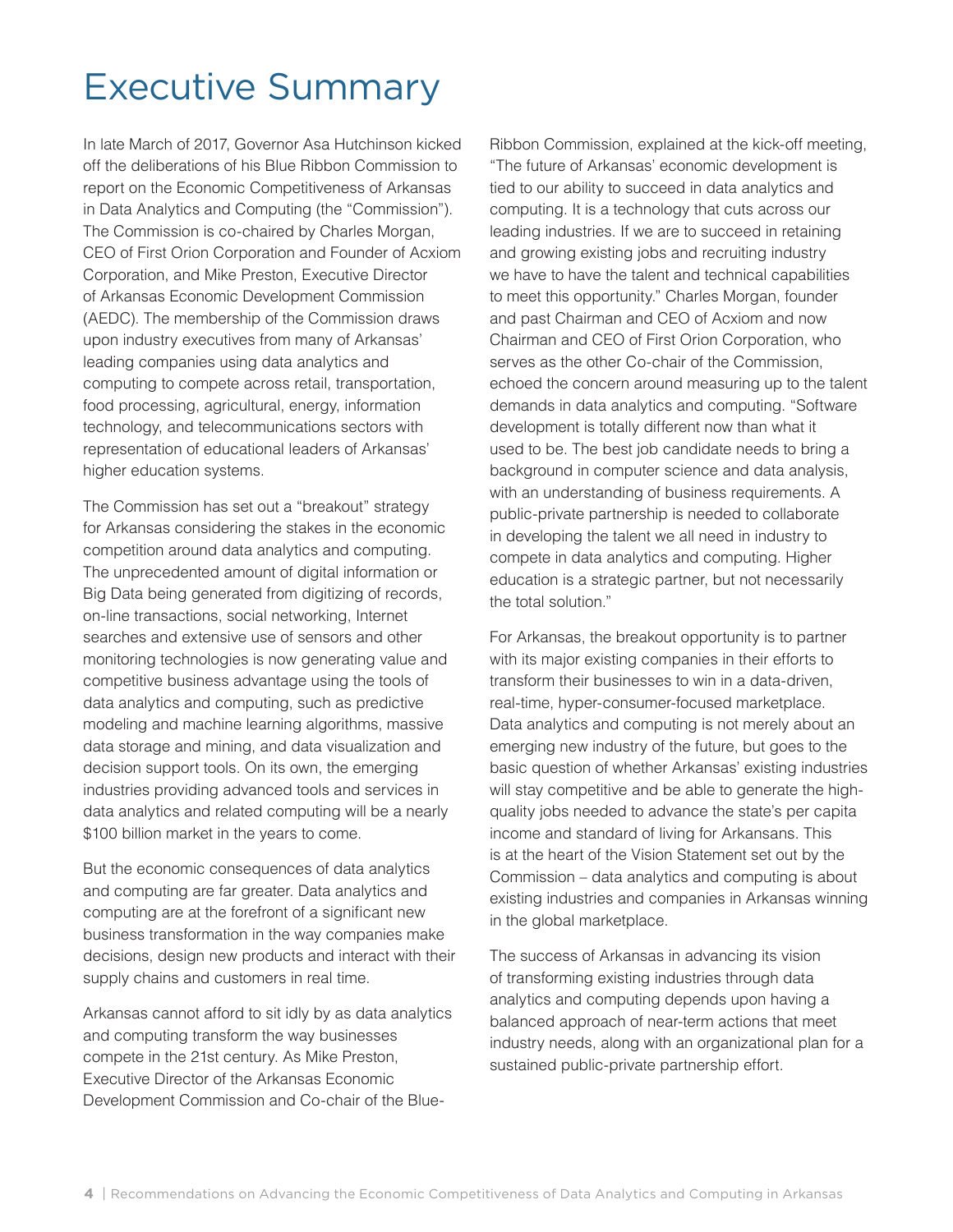## Executive Summary

In late March of 2017, Governor Asa Hutchinson kicked off the deliberations of his Blue Ribbon Commission to report on the Economic Competitiveness of Arkansas in Data Analytics and Computing (the "Commission"). The Commission is co-chaired by Charles Morgan, CEO of First Orion Corporation and Founder of Acxiom Corporation, and Mike Preston, Executive Director of Arkansas Economic Development Commission (AEDC). The membership of the Commission draws upon industry executives from many of Arkansas' leading companies using data analytics and computing to compete across retail, transportation, food processing, agricultural, energy, information technology, and telecommunications sectors with representation of educational leaders of Arkansas' higher education systems.

The Commission has set out a "breakout" strategy for Arkansas considering the stakes in the economic competition around data analytics and computing. The unprecedented amount of digital information or Big Data being generated from digitizing of records, on-line transactions, social networking, Internet searches and extensive use of sensors and other monitoring technologies is now generating value and competitive business advantage using the tools of data analytics and computing, such as predictive modeling and machine learning algorithms, massive data storage and mining, and data visualization and decision support tools. On its own, the emerging industries providing advanced tools and services in data analytics and related computing will be a nearly \$100 billion market in the years to come.

But the economic consequences of data analytics and computing are far greater. Data analytics and computing are at the forefront of a significant new business transformation in the way companies make decisions, design new products and interact with their supply chains and customers in real time.

Arkansas cannot afford to sit idly by as data analytics and computing transform the way businesses compete in the 21st century. As Mike Preston, Executive Director of the Arkansas Economic Development Commission and Co-chair of the BlueRibbon Commission, explained at the kick-off meeting, "The future of Arkansas' economic development is tied to our ability to succeed in data analytics and computing. It is a technology that cuts across our leading industries. If we are to succeed in retaining and growing existing jobs and recruiting industry we have to have the talent and technical capabilities to meet this opportunity." Charles Morgan, founder and past Chairman and CEO of Acxiom and now Chairman and CEO of First Orion Corporation, who serves as the other Co-chair of the Commission, echoed the concern around measuring up to the talent demands in data analytics and computing. "Software development is totally different now than what it used to be. The best job candidate needs to bring a background in computer science and data analysis, with an understanding of business requirements. A public-private partnership is needed to collaborate in developing the talent we all need in industry to compete in data analytics and computing. Higher education is a strategic partner, but not necessarily the total solution."

For Arkansas, the breakout opportunity is to partner with its major existing companies in their efforts to transform their businesses to win in a data-driven, real-time, hyper-consumer-focused marketplace. Data analytics and computing is not merely about an emerging new industry of the future, but goes to the basic question of whether Arkansas' existing industries will stay competitive and be able to generate the highquality jobs needed to advance the state's per capita income and standard of living for Arkansans. This is at the heart of the Vision Statement set out by the Commission – data analytics and computing is about existing industries and companies in Arkansas winning in the global marketplace.

The success of Arkansas in advancing its vision of transforming existing industries through data analytics and computing depends upon having a balanced approach of near-term actions that meet industry needs, along with an organizational plan for a sustained public-private partnership effort.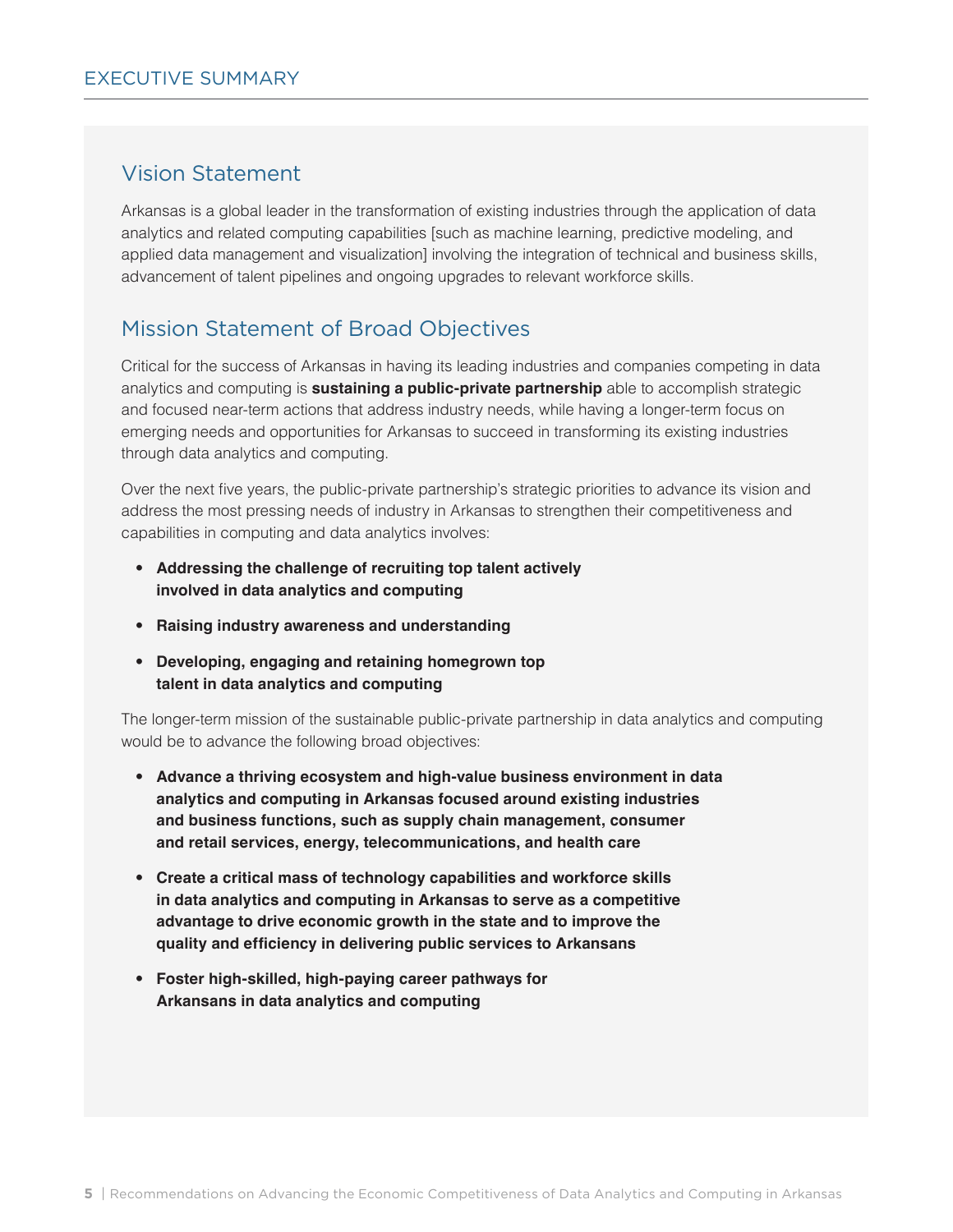### Vision Statement

Arkansas is a global leader in the transformation of existing industries through the application of data analytics and related computing capabilities [such as machine learning, predictive modeling, and applied data management and visualization] involving the integration of technical and business skills, advancement of talent pipelines and ongoing upgrades to relevant workforce skills.

### Mission Statement of Broad Objectives

Critical for the success of Arkansas in having its leading industries and companies competing in data analytics and computing is **sustaining a public-private partnership** able to accomplish strategic and focused near-term actions that address industry needs, while having a longer-term focus on emerging needs and opportunities for Arkansas to succeed in transforming its existing industries through data analytics and computing.

Over the next five years, the public-private partnership's strategic priorities to advance its vision and address the most pressing needs of industry in Arkansas to strengthen their competitiveness and capabilities in computing and data analytics involves:

- **Addressing the challenge of recruiting top talent actively involved in data analytics and computing**
- **Raising industry awareness and understanding**
- **Developing, engaging and retaining homegrown top talent in data analytics and computing**

The longer-term mission of the sustainable public-private partnership in data analytics and computing would be to advance the following broad objectives:

- **Advance a thriving ecosystem and high-value business environment in data analytics and computing in Arkansas focused around existing industries and business functions, such as supply chain management, consumer and retail services, energy, telecommunications, and health care**
- **Create a critical mass of technology capabilities and workforce skills in data analytics and computing in Arkansas to serve as a competitive advantage to drive economic growth in the state and to improve the quality and efficiency in delivering public services to Arkansans**
- **Foster high-skilled, high-paying career pathways for Arkansans in data analytics and computing**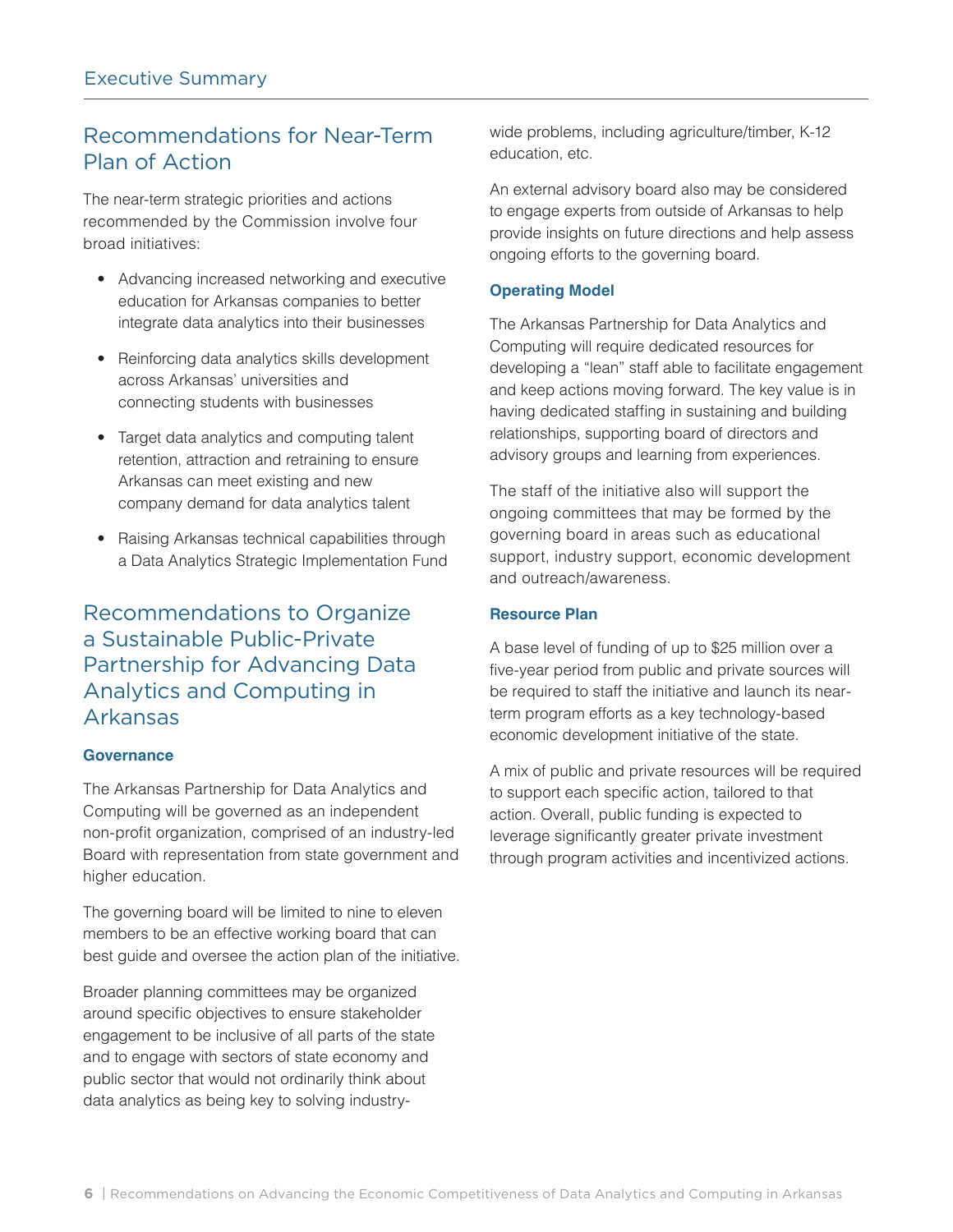## Recommendations for Near-Term Plan of Action

The near-term strategic priorities and actions recommended by the Commission involve four broad initiatives:

- Advancing increased networking and executive education for Arkansas companies to better integrate data analytics into their businesses
- Reinforcing data analytics skills development across Arkansas' universities and connecting students with businesses
- Target data analytics and computing talent retention, attraction and retraining to ensure Arkansas can meet existing and new company demand for data analytics talent
- Raising Arkansas technical capabilities through a Data Analytics Strategic Implementation Fund

## Recommendations to Organize a Sustainable Public-Private Partnership for Advancing Data Analytics and Computing in Arkansas

#### **Governance**

The Arkansas Partnership for Data Analytics and Computing will be governed as an independent non-profit organization, comprised of an industry-led Board with representation from state government and higher education.

The governing board will be limited to nine to eleven members to be an effective working board that can best guide and oversee the action plan of the initiative.

Broader planning committees may be organized around specific objectives to ensure stakeholder engagement to be inclusive of all parts of the state and to engage with sectors of state economy and public sector that would not ordinarily think about data analytics as being key to solving industrywide problems, including agriculture/timber, K-12 education, etc.

An external advisory board also may be considered to engage experts from outside of Arkansas to help provide insights on future directions and help assess ongoing efforts to the governing board.

#### **Operating Model**

The Arkansas Partnership for Data Analytics and Computing will require dedicated resources for developing a "lean" staff able to facilitate engagement and keep actions moving forward. The key value is in having dedicated staffing in sustaining and building relationships, supporting board of directors and advisory groups and learning from experiences.

The staff of the initiative also will support the ongoing committees that may be formed by the governing board in areas such as educational support, industry support, economic development and outreach/awareness.

#### **Resource Plan**

A base level of funding of up to \$25 million over a five-year period from public and private sources will be required to staff the initiative and launch its nearterm program efforts as a key technology-based economic development initiative of the state.

A mix of public and private resources will be required to support each specific action, tailored to that action. Overall, public funding is expected to leverage significantly greater private investment through program activities and incentivized actions.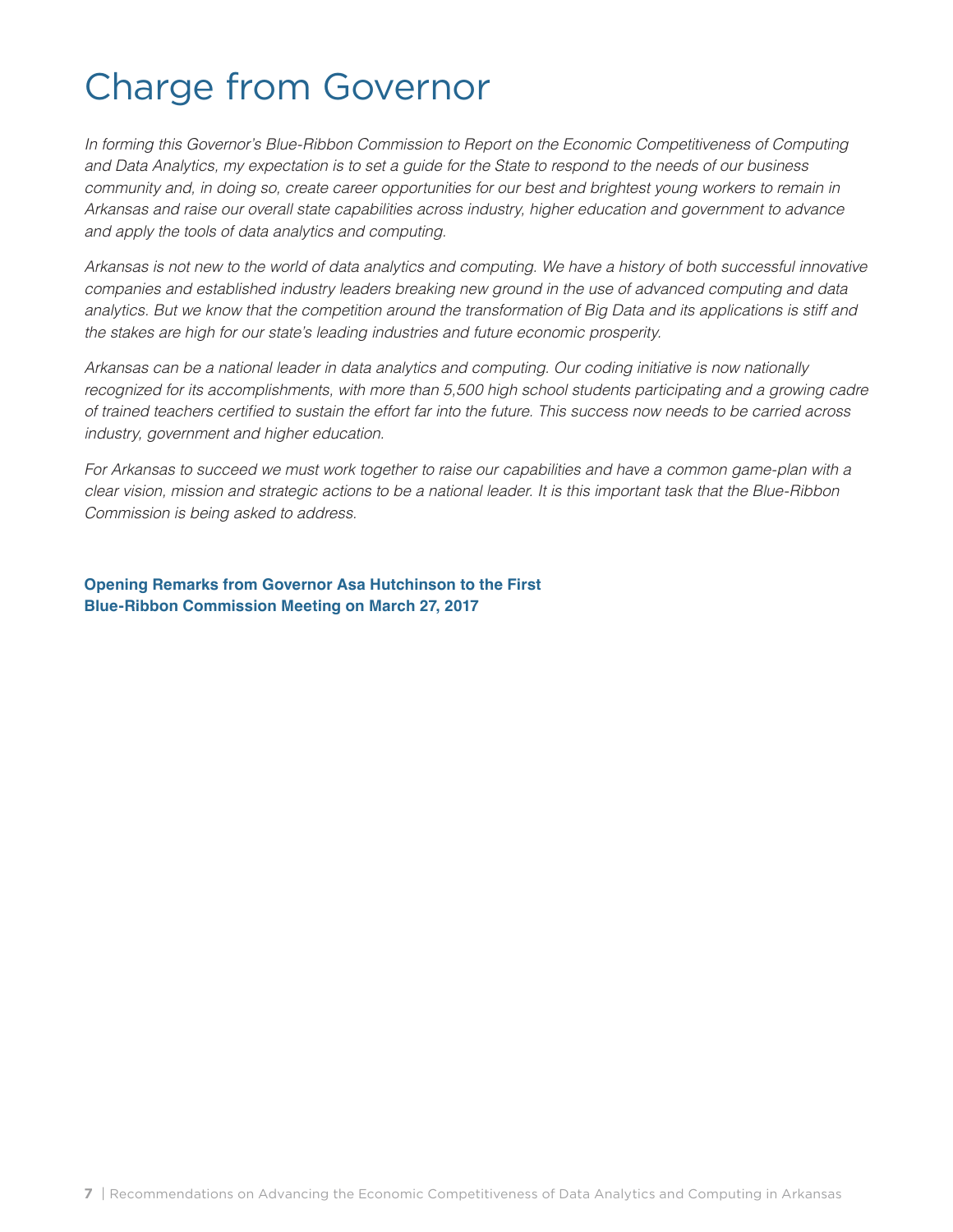## Charge from Governor

*In forming this Governor's Blue-Ribbon Commission to Report on the Economic Competitiveness of Computing and Data Analytics, my expectation is to set a guide for the State to respond to the needs of our business community and, in doing so, create career opportunities for our best and brightest young workers to remain in Arkansas and raise our overall state capabilities across industry, higher education and government to advance and apply the tools of data analytics and computing.* 

*Arkansas is not new to the world of data analytics and computing. We have a history of both successful innovative companies and established industry leaders breaking new ground in the use of advanced computing and data analytics. But we know that the competition around the transformation of Big Data and its applications is stiff and the stakes are high for our state's leading industries and future economic prosperity.* 

*Arkansas can be a national leader in data analytics and computing. Our coding initiative is now nationally*  recognized for its accomplishments, with more than 5,500 high school students participating and a growing cadre of trained teachers certified to sustain the effort far into the future. This success now needs to be carried across *industry, government and higher education.* 

*For Arkansas to succeed we must work together to raise our capabilities and have a common game-plan with a clear vision, mission and strategic actions to be a national leader. It is this important task that the Blue-Ribbon Commission is being asked to address.* 

**Opening Remarks from Governor Asa Hutchinson to the First Blue-Ribbon Commission Meeting on March 27, 2017**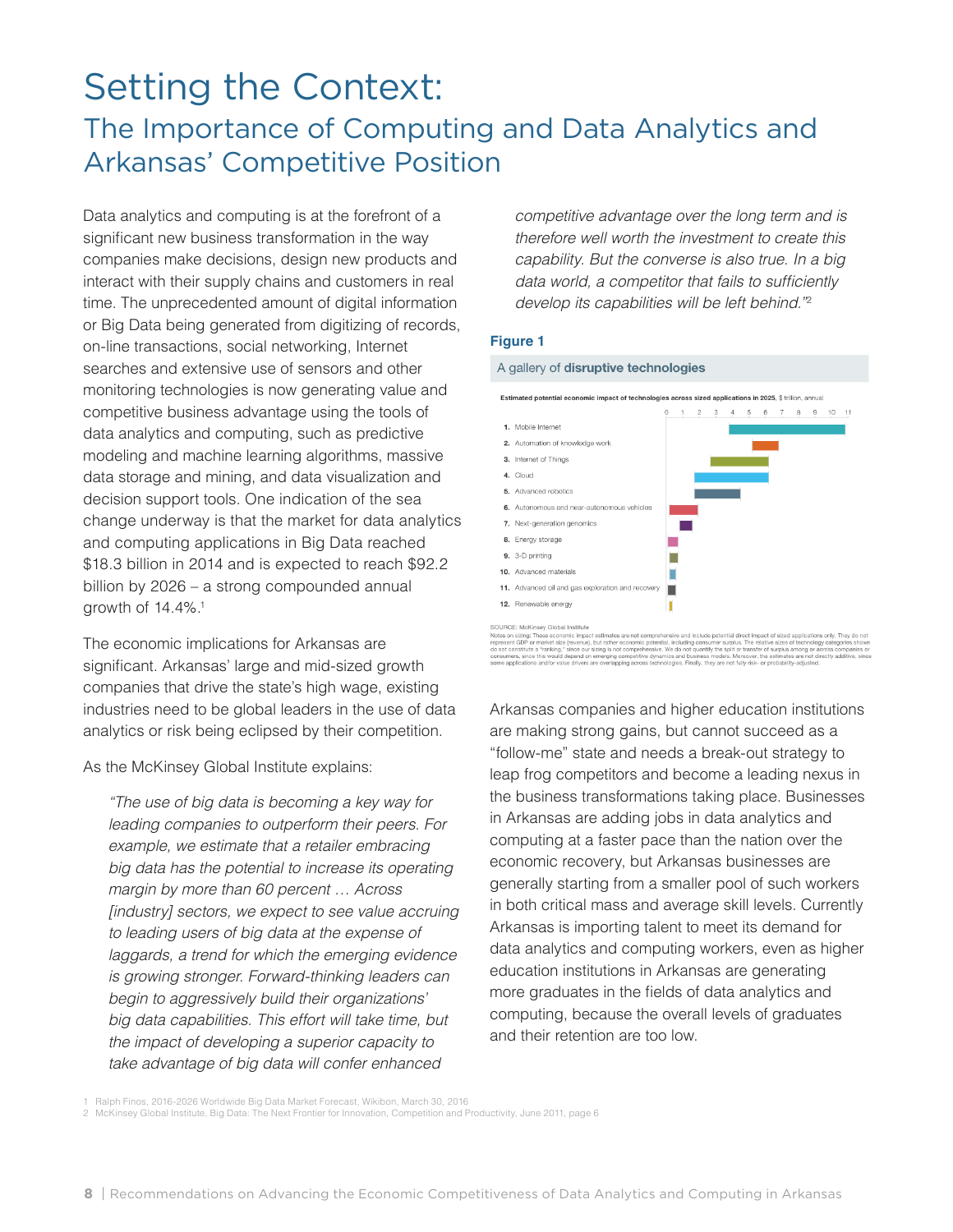## Setting the Context: The Importance of Computing and Data Analytics and Arkansas' Competitive Position

Data analytics and computing is at the forefront of a significant new business transformation in the way companies make decisions, design new products and interact with their supply chains and customers in real time. The unprecedented amount of digital information or Big Data being generated from digitizing of records, on-line transactions, social networking, Internet searches and extensive use of sensors and other monitoring technologies is now generating value and competitive business advantage using the tools of data analytics and computing, such as predictive modeling and machine learning algorithms, massive data storage and mining, and data visualization and decision support tools. One indication of the sea change underway is that the market for data analytics and computing applications in Big Data reached \$18.3 billion in 2014 and is expected to reach \$92.2 billion by 2026 – a strong compounded annual growth of 14.4%.<sup>1</sup>

The economic implications for Arkansas are significant. Arkansas' large and mid-sized growth companies that drive the state's high wage, existing industries need to be global leaders in the use of data analytics or risk being eclipsed by their competition.

As the McKinsey Global Institute explains:

*"The use of big data is becoming a key way for leading companies to outperform their peers. For example, we estimate that a retailer embracing big data has the potential to increase its operating margin by more than 60 percent … Across [industry] sectors, we expect to see value accruing to leading users of big data at the expense of laggards, a trend for which the emerging evidence is growing stronger. Forward-thinking leaders can begin to aggressively build their organizations' big data capabilities. This effort will take time, but the impact of developing a superior capacity to take advantage of big data will confer enhanced* 

*competitive advantage over the long term and is therefore well worth the investment to create this capability. But the converse is also true. In a big*  data world, a competitor that fails to sufficiently *develop its capabilities will be left behind."*<sup>2</sup>

#### **Figure 1**

#### A gallery of disruptive technologies



SOURCE: McKnisey Global institute<br>When on simple the control institute a strained for the match of the complete of the control of the state applications only. They<br>represent CDP or market size (eventue), but rather economi

Arkansas companies and higher education institutions are making strong gains, but cannot succeed as a "follow-me" state and needs a break-out strategy to leap frog competitors and become a leading nexus in the business transformations taking place. Businesses in Arkansas are adding jobs in data analytics and computing at a faster pace than the nation over the economic recovery, but Arkansas businesses are generally starting from a smaller pool of such workers in both critical mass and average skill levels. Currently Arkansas is importing talent to meet its demand for data analytics and computing workers, even as higher education institutions in Arkansas are generating more graduates in the fields of data analytics and computing, because the overall levels of graduates and their retention are too low.

1 Ralph Finos, 2016-2026 Worldwide Big Data Market Forecast, Wikibon, March 30, 2016<br>2 McKinsey Global Institute, Big Data: The Next Frontier for Innovation, Competition and Productivity, June 2011, page 6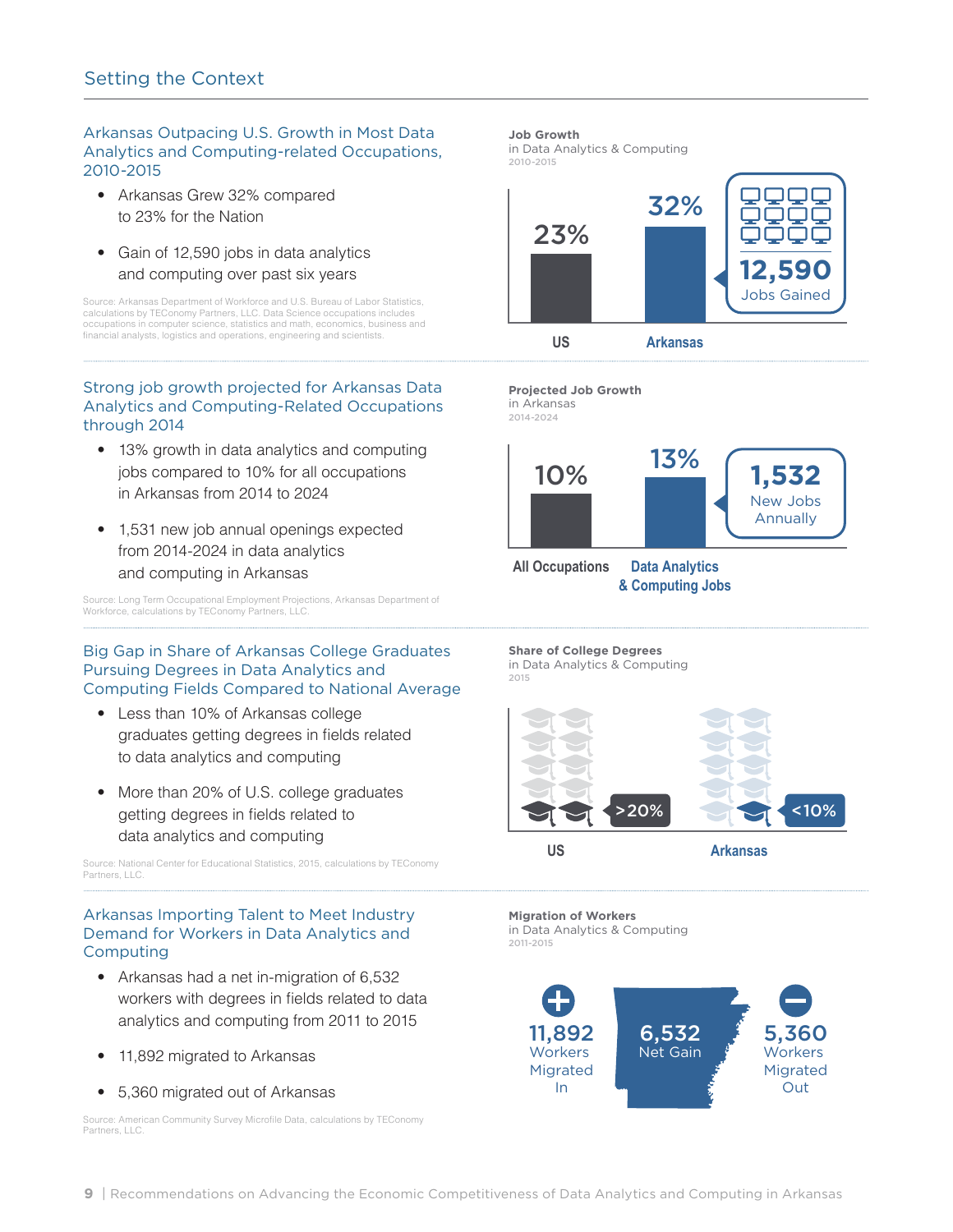#### Arkansas Outpacing U.S. Growth in Most Data Analytics and Computing-related Occupations, 2010-2015

- Arkansas Grew 32% compared to 23% for the Nation
- Gain of 12,590 jobs in data analytics and computing over past six years

Source: Arkansas Department of Workforce and U.S. Bureau of Labor Statistics, calculations by TEConomy Partners, LLC. Data Science occupations includes occupations in computer science, statistics and math, economics, business and financial analysts, logistics and operations, engineering and scientists.

#### Strong job growth projected for Arkansas Data Analytics and Computing-Related Occupations through 2014

- 13% growth in data analytics and computing jobs compared to 10% for all occupations in Arkansas from 2014 to 2024
- 1,531 new job annual openings expected from 2014-2024 in data analytics and computing in Arkansas

Source: Long Term Occupational Employment Projections, Arkansas Department of Workforce, calculations by TEConomy Partners, LLC.

#### Big Gap in Share of Arkansas College Graduates Pursuing Degrees in Data Analytics and Computing Fields Compared to National Average

- Less than 10% of Arkansas college graduates getting degrees in fields related to data analytics and computing
- More than 20% of U.S. college graduates getting degrees in fields related to data analytics and computing

Source: National Center for Educational Statistics, 2015, calculations by TEConomy Partners, LLC.

#### Arkansas Importing Talent to Meet Industry Demand for Workers in Data Analytics and Computing

- Arkansas had a net in-migration of 6,532 workers with degrees in fields related to data analytics and computing from 2011 to 2015
- 11,892 migrated to Arkansas
- 5,360 migrated out of Arkansas

Source: American Community Survey Microfile Data, calculations by TEConomy Partners, LLC.

#### **Job Growth**

in Data Analytics & Computing 2010-2015





2014-2024



**& Computing Jobs**

**Share of College Degrees**  in Data Analytics & Computing 2015



**Migration of Workers**  in Data Analytics & Computing 2011-2015

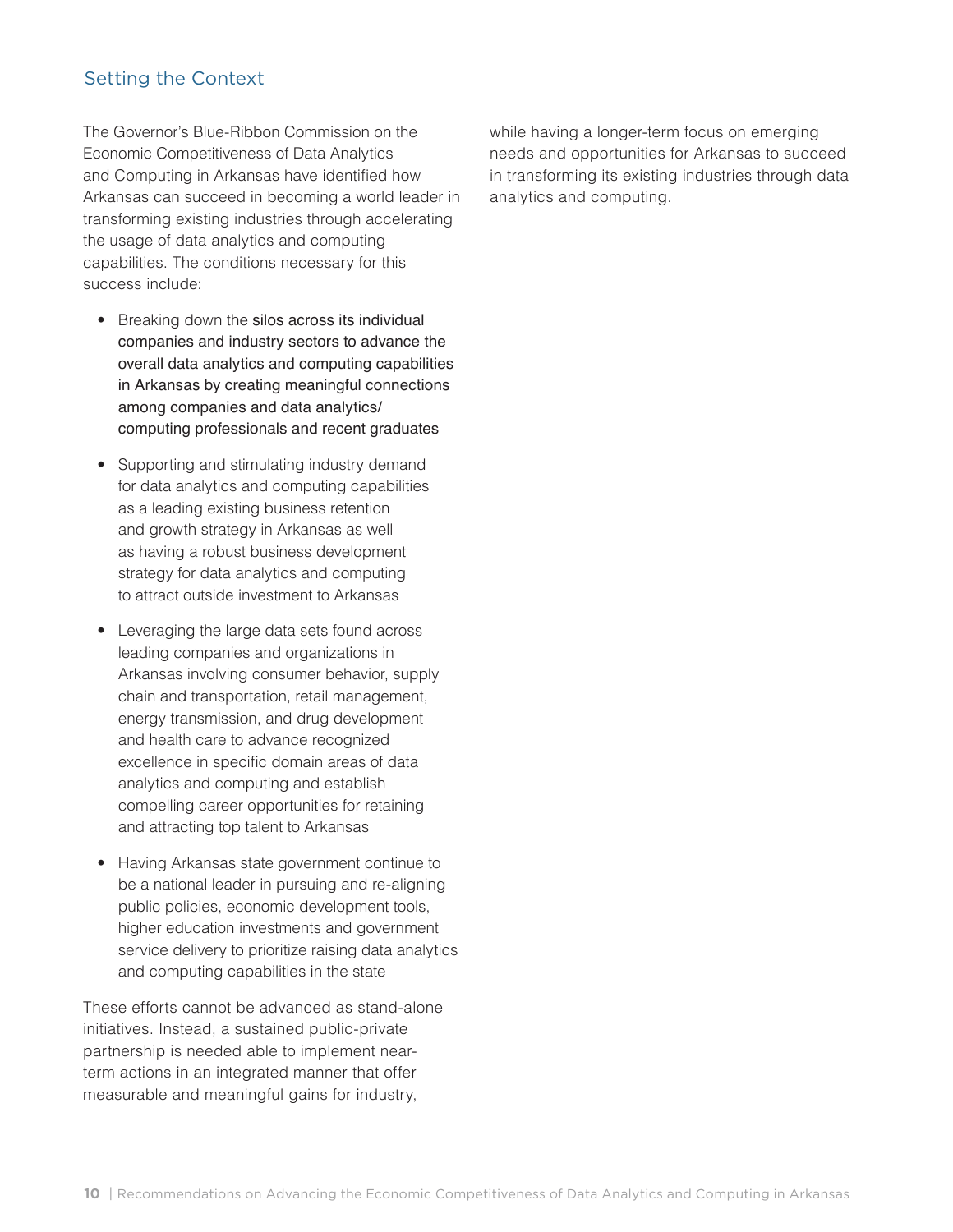### Setting the Context

The Governor's Blue-Ribbon Commission on the Economic Competitiveness of Data Analytics and Computing in Arkansas have identified how Arkansas can succeed in becoming a world leader in transforming existing industries through accelerating the usage of data analytics and computing capabilities. The conditions necessary for this success include:

- Breaking down the silos across its individual companies and industry sectors to advance the overall data analytics and computing capabilities in Arkansas by creating meaningful connections among companies and data analytics/ computing professionals and recent graduates
- Supporting and stimulating industry demand for data analytics and computing capabilities as a leading existing business retention and growth strategy in Arkansas as well as having a robust business development strategy for data analytics and computing to attract outside investment to Arkansas
- Leveraging the large data sets found across leading companies and organizations in Arkansas involving consumer behavior, supply chain and transportation, retail management, energy transmission, and drug development and health care to advance recognized excellence in specific domain areas of data analytics and computing and establish compelling career opportunities for retaining and attracting top talent to Arkansas
- Having Arkansas state government continue to be a national leader in pursuing and re-aligning public policies, economic development tools, higher education investments and government service delivery to prioritize raising data analytics and computing capabilities in the state

These efforts cannot be advanced as stand-alone initiatives. Instead, a sustained public-private partnership is needed able to implement nearterm actions in an integrated manner that offer measurable and meaningful gains for industry,

while having a longer-term focus on emerging needs and opportunities for Arkansas to succeed in transforming its existing industries through data analytics and computing.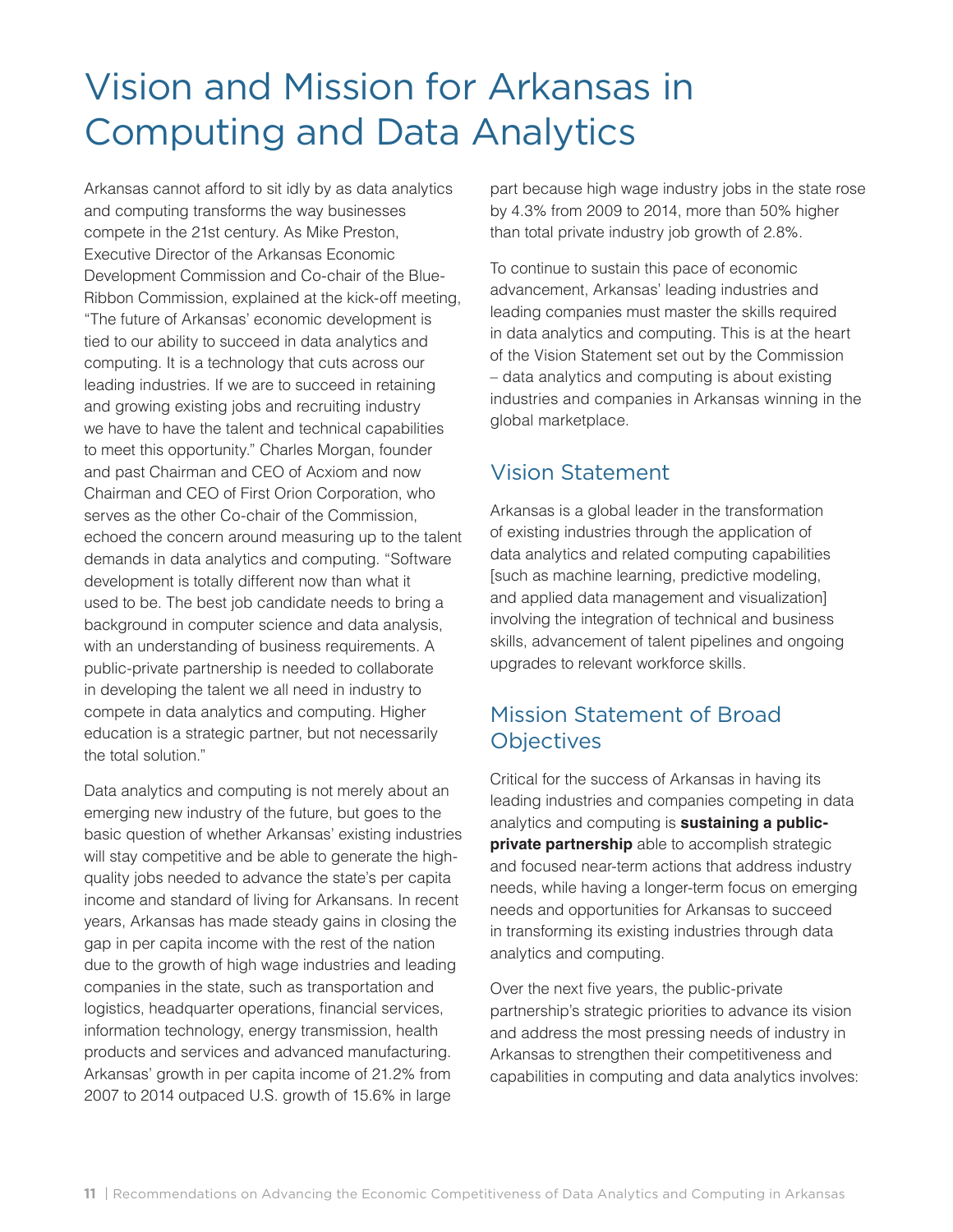## Vision and Mission for Arkansas in Computing and Data Analytics

Arkansas cannot afford to sit idly by as data analytics and computing transforms the way businesses compete in the 21st century. As Mike Preston, Executive Director of the Arkansas Economic Development Commission and Co-chair of the Blue-Ribbon Commission, explained at the kick-off meeting, "The future of Arkansas' economic development is tied to our ability to succeed in data analytics and computing. It is a technology that cuts across our leading industries. If we are to succeed in retaining and growing existing jobs and recruiting industry we have to have the talent and technical capabilities to meet this opportunity." Charles Morgan, founder and past Chairman and CEO of Acxiom and now Chairman and CEO of First Orion Corporation, who serves as the other Co-chair of the Commission, echoed the concern around measuring up to the talent demands in data analytics and computing. "Software development is totally different now than what it used to be. The best job candidate needs to bring a background in computer science and data analysis, with an understanding of business requirements. A public-private partnership is needed to collaborate in developing the talent we all need in industry to compete in data analytics and computing. Higher education is a strategic partner, but not necessarily the total solution."

Data analytics and computing is not merely about an emerging new industry of the future, but goes to the basic question of whether Arkansas' existing industries will stay competitive and be able to generate the highquality jobs needed to advance the state's per capita income and standard of living for Arkansans. In recent years, Arkansas has made steady gains in closing the gap in per capita income with the rest of the nation due to the growth of high wage industries and leading companies in the state, such as transportation and logistics, headquarter operations, financial services, information technology, energy transmission, health products and services and advanced manufacturing. Arkansas' growth in per capita income of 21.2% from 2007 to 2014 outpaced U.S. growth of 15.6% in large

part because high wage industry jobs in the state rose by 4.3% from 2009 to 2014, more than 50% higher than total private industry job growth of 2.8%.

To continue to sustain this pace of economic advancement, Arkansas' leading industries and leading companies must master the skills required in data analytics and computing. This is at the heart of the Vision Statement set out by the Commission – data analytics and computing is about existing industries and companies in Arkansas winning in the global marketplace.

## Vision Statement

Arkansas is a global leader in the transformation of existing industries through the application of data analytics and related computing capabilities [such as machine learning, predictive modeling, and applied data management and visualization] involving the integration of technical and business skills, advancement of talent pipelines and ongoing upgrades to relevant workforce skills.

## Mission Statement of Broad **Objectives**

Critical for the success of Arkansas in having its leading industries and companies competing in data analytics and computing is **sustaining a publicprivate partnership** able to accomplish strategic and focused near-term actions that address industry needs, while having a longer-term focus on emerging needs and opportunities for Arkansas to succeed in transforming its existing industries through data analytics and computing.

Over the next five years, the public-private partnership's strategic priorities to advance its vision and address the most pressing needs of industry in Arkansas to strengthen their competitiveness and capabilities in computing and data analytics involves: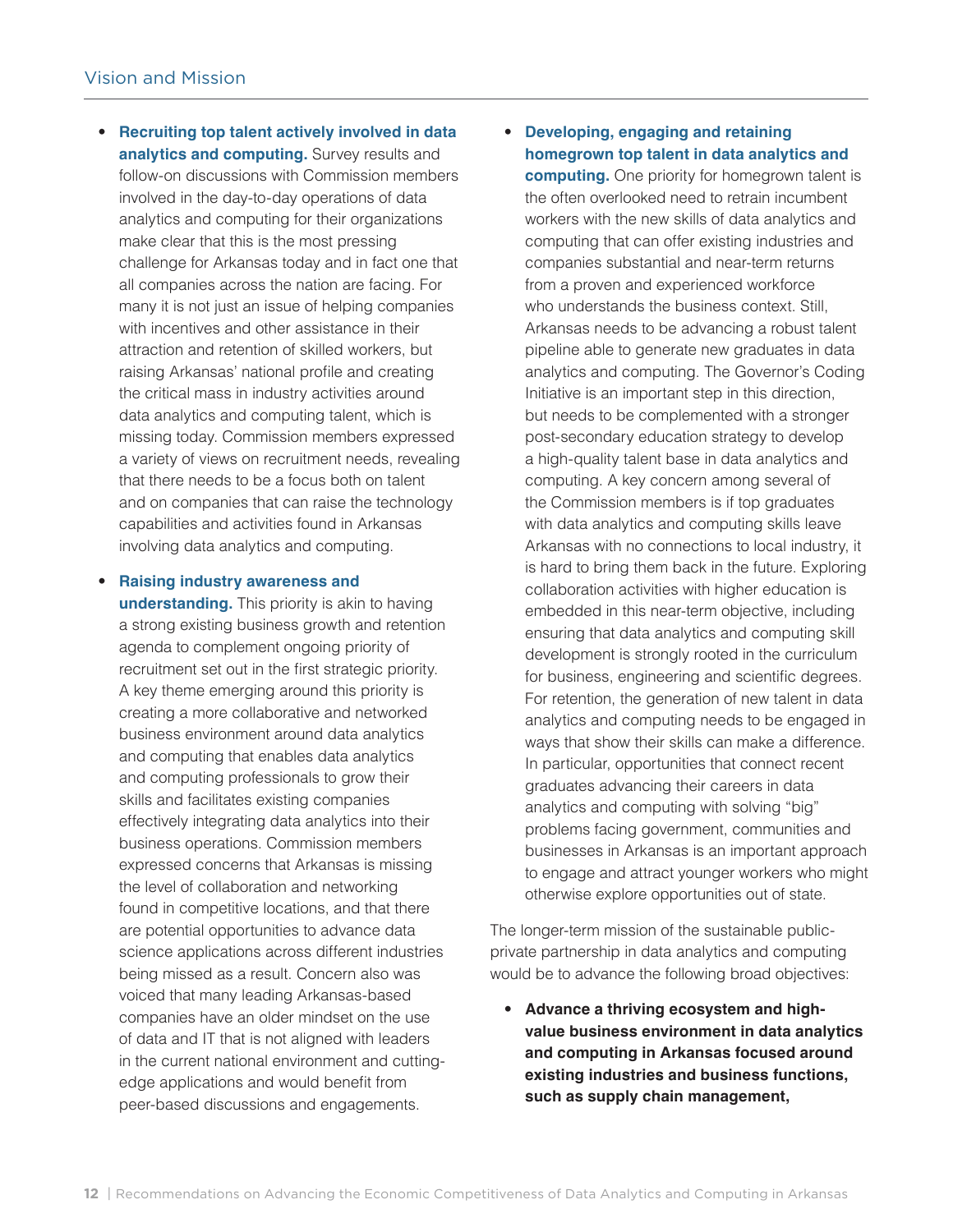- **Recruiting top talent actively involved in data analytics and computing.** Survey results and follow-on discussions with Commission members involved in the day-to-day operations of data analytics and computing for their organizations make clear that this is the most pressing challenge for Arkansas today and in fact one that all companies across the nation are facing. For many it is not just an issue of helping companies with incentives and other assistance in their attraction and retention of skilled workers, but raising Arkansas' national profile and creating the critical mass in industry activities around data analytics and computing talent, which is missing today. Commission members expressed a variety of views on recruitment needs, revealing that there needs to be a focus both on talent and on companies that can raise the technology capabilities and activities found in Arkansas involving data analytics and computing.
- **Raising industry awareness and understanding.** This priority is akin to having a strong existing business growth and retention agenda to complement ongoing priority of recruitment set out in the first strategic priority. A key theme emerging around this priority is creating a more collaborative and networked business environment around data analytics and computing that enables data analytics and computing professionals to grow their skills and facilitates existing companies effectively integrating data analytics into their business operations. Commission members expressed concerns that Arkansas is missing the level of collaboration and networking found in competitive locations, and that there are potential opportunities to advance data science applications across different industries being missed as a result. Concern also was voiced that many leading Arkansas-based companies have an older mindset on the use of data and IT that is not aligned with leaders in the current national environment and cuttingedge applications and would benefit from peer-based discussions and engagements.

• **Developing, engaging and retaining homegrown top talent in data analytics and** 

**computing.** One priority for homegrown talent is the often overlooked need to retrain incumbent workers with the new skills of data analytics and computing that can offer existing industries and companies substantial and near-term returns from a proven and experienced workforce who understands the business context. Still, Arkansas needs to be advancing a robust talent pipeline able to generate new graduates in data analytics and computing. The Governor's Coding Initiative is an important step in this direction, but needs to be complemented with a stronger post-secondary education strategy to develop a high-quality talent base in data analytics and computing. A key concern among several of the Commission members is if top graduates with data analytics and computing skills leave Arkansas with no connections to local industry, it is hard to bring them back in the future. Exploring collaboration activities with higher education is embedded in this near-term objective, including ensuring that data analytics and computing skill development is strongly rooted in the curriculum for business, engineering and scientific degrees. For retention, the generation of new talent in data analytics and computing needs to be engaged in ways that show their skills can make a difference. In particular, opportunities that connect recent graduates advancing their careers in data analytics and computing with solving "big" problems facing government, communities and businesses in Arkansas is an important approach to engage and attract younger workers who might otherwise explore opportunities out of state.

The longer-term mission of the sustainable publicprivate partnership in data analytics and computing would be to advance the following broad objectives:

• **Advance a thriving ecosystem and highvalue business environment in data analytics and computing in Arkansas focused around existing industries and business functions, such as supply chain management,**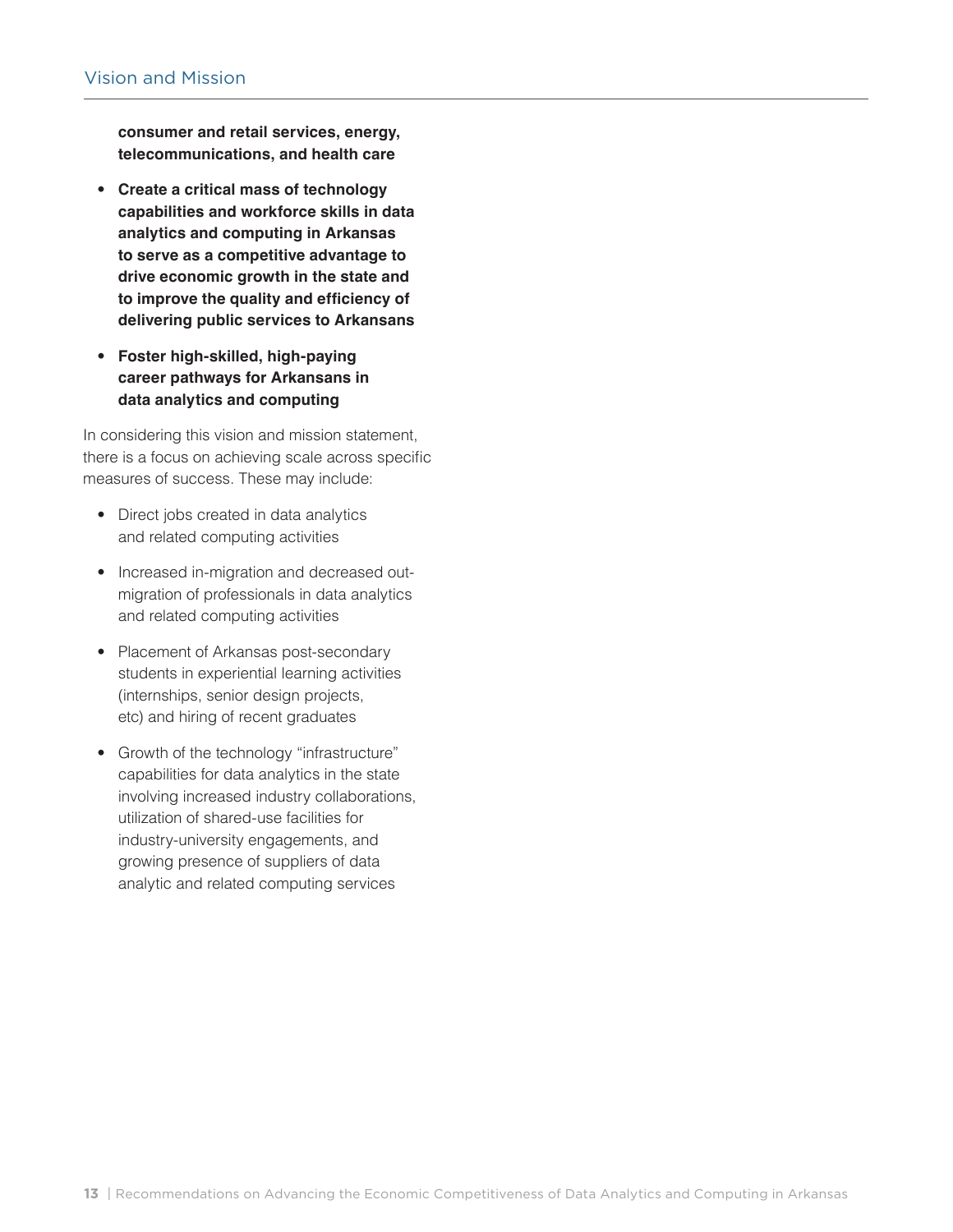**consumer and retail services, energy, telecommunications, and health care**

- **Create a critical mass of technology capabilities and workforce skills in data analytics and computing in Arkansas to serve as a competitive advantage to drive economic growth in the state and to improve the quality and efficiency of delivering public services to Arkansans**
- **Foster high-skilled, high-paying career pathways for Arkansans in data analytics and computing**

In considering this vision and mission statement, there is a focus on achieving scale across specific measures of success. These may include:

- Direct jobs created in data analytics and related computing activities
- Increased in-migration and decreased outmigration of professionals in data analytics and related computing activities
- Placement of Arkansas post-secondary students in experiential learning activities (internships, senior design projects, etc) and hiring of recent graduates
- Growth of the technology "infrastructure" capabilities for data analytics in the state involving increased industry collaborations, utilization of shared-use facilities for industry-university engagements, and growing presence of suppliers of data analytic and related computing services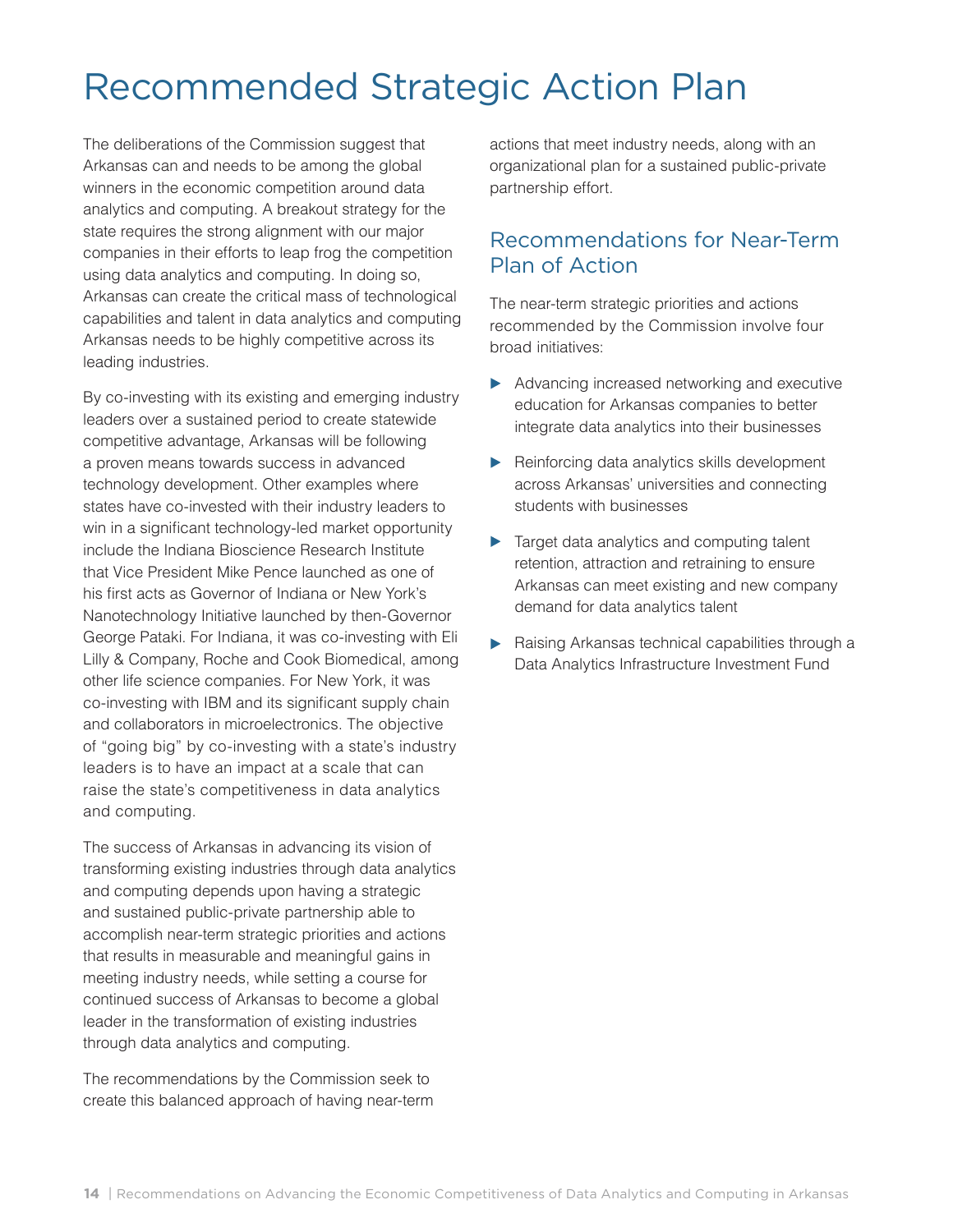## Recommended Strategic Action Plan

The deliberations of the Commission suggest that Arkansas can and needs to be among the global winners in the economic competition around data analytics and computing. A breakout strategy for the state requires the strong alignment with our major companies in their efforts to leap frog the competition using data analytics and computing. In doing so, Arkansas can create the critical mass of technological capabilities and talent in data analytics and computing Arkansas needs to be highly competitive across its leading industries.

By co-investing with its existing and emerging industry leaders over a sustained period to create statewide competitive advantage, Arkansas will be following a proven means towards success in advanced technology development. Other examples where states have co-invested with their industry leaders to win in a significant technology-led market opportunity include the Indiana Bioscience Research Institute that Vice President Mike Pence launched as one of his first acts as Governor of Indiana or New York's Nanotechnology Initiative launched by then-Governor George Pataki. For Indiana, it was co-investing with Eli Lilly & Company, Roche and Cook Biomedical, among other life science companies. For New York, it was co-investing with IBM and its significant supply chain and collaborators in microelectronics. The objective of "going big" by co-investing with a state's industry leaders is to have an impact at a scale that can raise the state's competitiveness in data analytics and computing.

The success of Arkansas in advancing its vision of transforming existing industries through data analytics and computing depends upon having a strategic and sustained public-private partnership able to accomplish near-term strategic priorities and actions that results in measurable and meaningful gains in meeting industry needs, while setting a course for continued success of Arkansas to become a global leader in the transformation of existing industries through data analytics and computing.

The recommendations by the Commission seek to create this balanced approach of having near-term actions that meet industry needs, along with an organizational plan for a sustained public-private partnership effort.

### Recommendations for Near-Term Plan of Action

The near-term strategic priorities and actions recommended by the Commission involve four broad initiatives:

- Advancing increased networking and executive education for Arkansas companies to better integrate data analytics into their businesses
- Reinforcing data analytics skills development across Arkansas' universities and connecting students with businesses
- **Target data analytics and computing talent** retention, attraction and retraining to ensure Arkansas can meet existing and new company demand for data analytics talent
- Raising Arkansas technical capabilities through a Data Analytics Infrastructure Investment Fund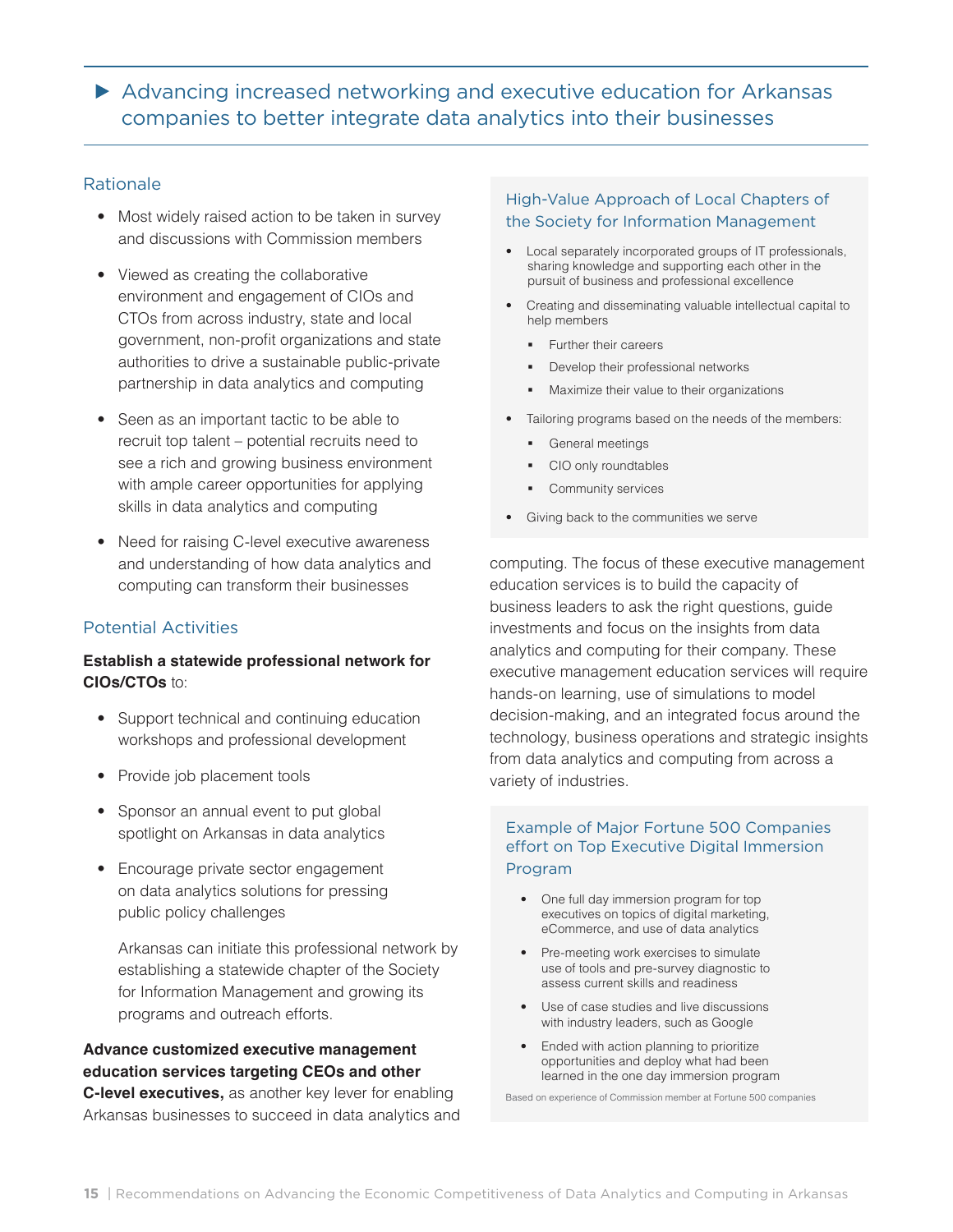Advancing increased networking and executive education for Arkansas companies to better integrate data analytics into their businesses

#### Rationale

- Most widely raised action to be taken in survey and discussions with Commission members
- Viewed as creating the collaborative environment and engagement of CIOs and CTOs from across industry, state and local government, non-profit organizations and state authorities to drive a sustainable public-private partnership in data analytics and computing
- Seen as an important tactic to be able to recruit top talent – potential recruits need to see a rich and growing business environment with ample career opportunities for applying skills in data analytics and computing
- Need for raising C-level executive awareness and understanding of how data analytics and computing can transform their businesses

#### Potential Activities

#### **Establish a statewide professional network for CIOs/CTOs** to:

- Support technical and continuing education workshops and professional development
- Provide job placement tools
- Sponsor an annual event to put global spotlight on Arkansas in data analytics
- Encourage private sector engagement on data analytics solutions for pressing public policy challenges

Arkansas can initiate this professional network by establishing a statewide chapter of the Society for Information Management and growing its programs and outreach efforts.

### **Advance customized executive management education services targeting CEOs and other**

**C-level executives,** as another key lever for enabling Arkansas businesses to succeed in data analytics and

#### High-Value Approach of Local Chapters of the Society for Information Management

- Local separately incorporated groups of IT professionals, sharing knowledge and supporting each other in the pursuit of business and professional excellence
- Creating and disseminating valuable intellectual capital to help members
	- **Further their careers**
	- **•** Develop their professional networks
	- Maximize their value to their organizations
- Tailoring programs based on the needs of the members:
	- **General meetings**
	- **CIO only roundtables**
	- Community services
- Giving back to the communities we serve

computing. The focus of these executive management education services is to build the capacity of business leaders to ask the right questions, guide investments and focus on the insights from data analytics and computing for their company. These executive management education services will require hands-on learning, use of simulations to model decision-making, and an integrated focus around the technology, business operations and strategic insights from data analytics and computing from across a variety of industries.

#### Example of Major Fortune 500 Companies effort on Top Executive Digital Immersion Program

- One full day immersion program for top executives on topics of digital marketing, eCommerce, and use of data analytics
- Pre-meeting work exercises to simulate use of tools and pre-survey diagnostic to assess current skills and readiness
- Use of case studies and live discussions with industry leaders, such as Google
- Ended with action planning to prioritize opportunities and deploy what had been learned in the one day immersion program

Based on experience of Commission member at Fortune 500 companies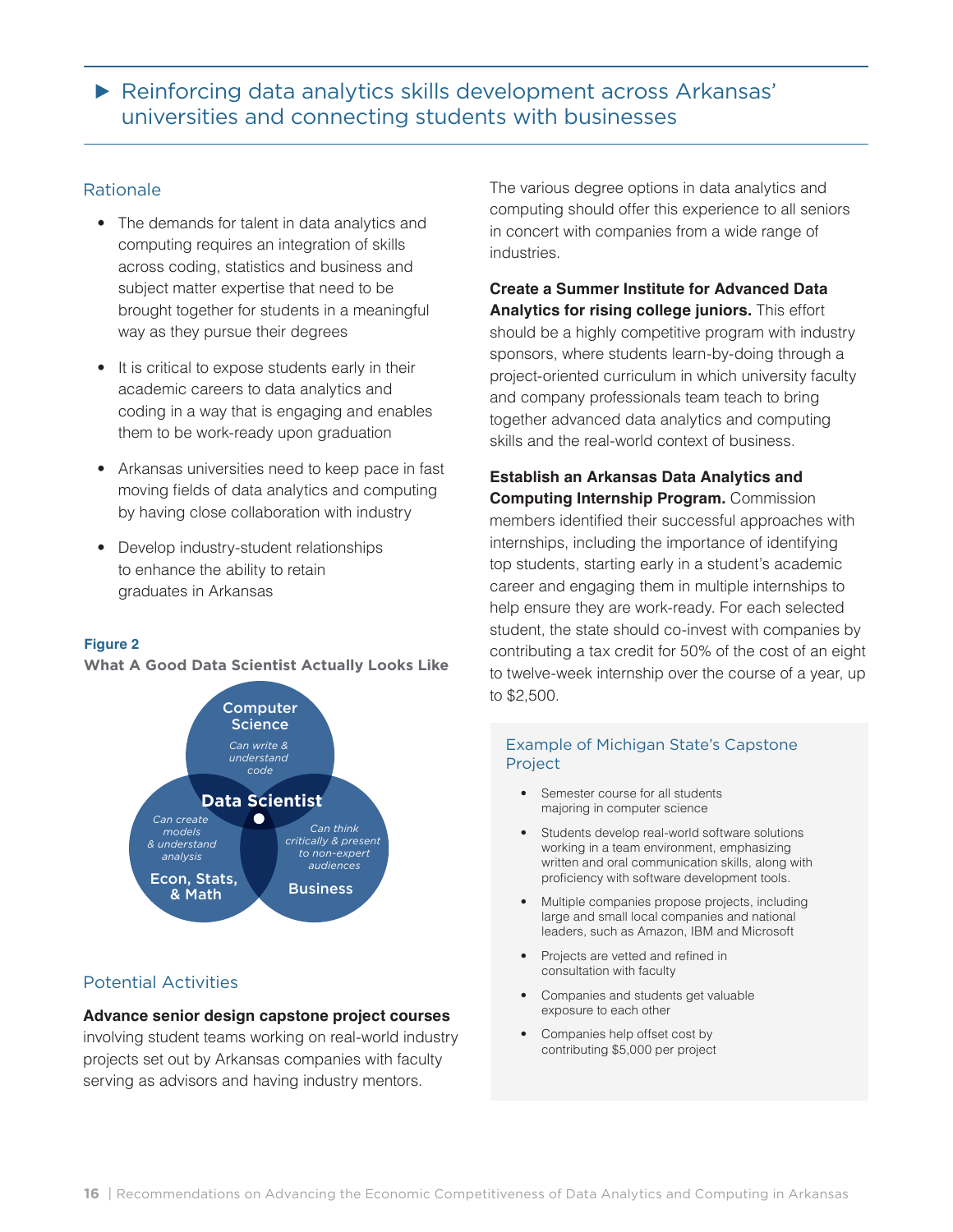Reinforcing data analytics skills development across Arkansas' universities and connecting students with businesses

#### Rationale

- The demands for talent in data analytics and computing requires an integration of skills across coding, statistics and business and subject matter expertise that need to be brought together for students in a meaningful way as they pursue their degrees
- It is critical to expose students early in their academic careers to data analytics and coding in a way that is engaging and enables them to be work-ready upon graduation
- Arkansas universities need to keep pace in fast moving fields of data analytics and computing by having close collaboration with industry
- Develop industry-student relationships to enhance the ability to retain graduates in Arkansas

#### **Figure 2**

**What A Good Data Scientist Actually Looks Like**



#### Potential Activities

#### **Advance senior design capstone project courses**

involving student teams working on real-world industry projects set out by Arkansas companies with faculty serving as advisors and having industry mentors.

The various degree options in data analytics and computing should offer this experience to all seniors in concert with companies from a wide range of industries.

**Create a Summer Institute for Advanced Data Analytics for rising college juniors.** This effort should be a highly competitive program with industry sponsors, where students learn-by-doing through a project-oriented curriculum in which university faculty and company professionals team teach to bring together advanced data analytics and computing skills and the real-world context of business.

**Establish an Arkansas Data Analytics and Computing Internship Program.** Commission members identified their successful approaches with internships, including the importance of identifying top students, starting early in a student's academic career and engaging them in multiple internships to help ensure they are work-ready. For each selected student, the state should co-invest with companies by contributing a tax credit for 50% of the cost of an eight to twelve-week internship over the course of a year, up to \$2,500.

#### Example of Michigan State's Capstone Project

- Semester course for all students majoring in computer science
- Students develop real-world software solutions working in a team environment, emphasizing written and oral communication skills, along with proficiency with software development tools.
- Multiple companies propose projects, including large and small local companies and national leaders, such as Amazon, IBM and Microsoft
- Projects are vetted and refined in consultation with faculty
- Companies and students get valuable exposure to each other
- Companies help offset cost by contributing \$5,000 per project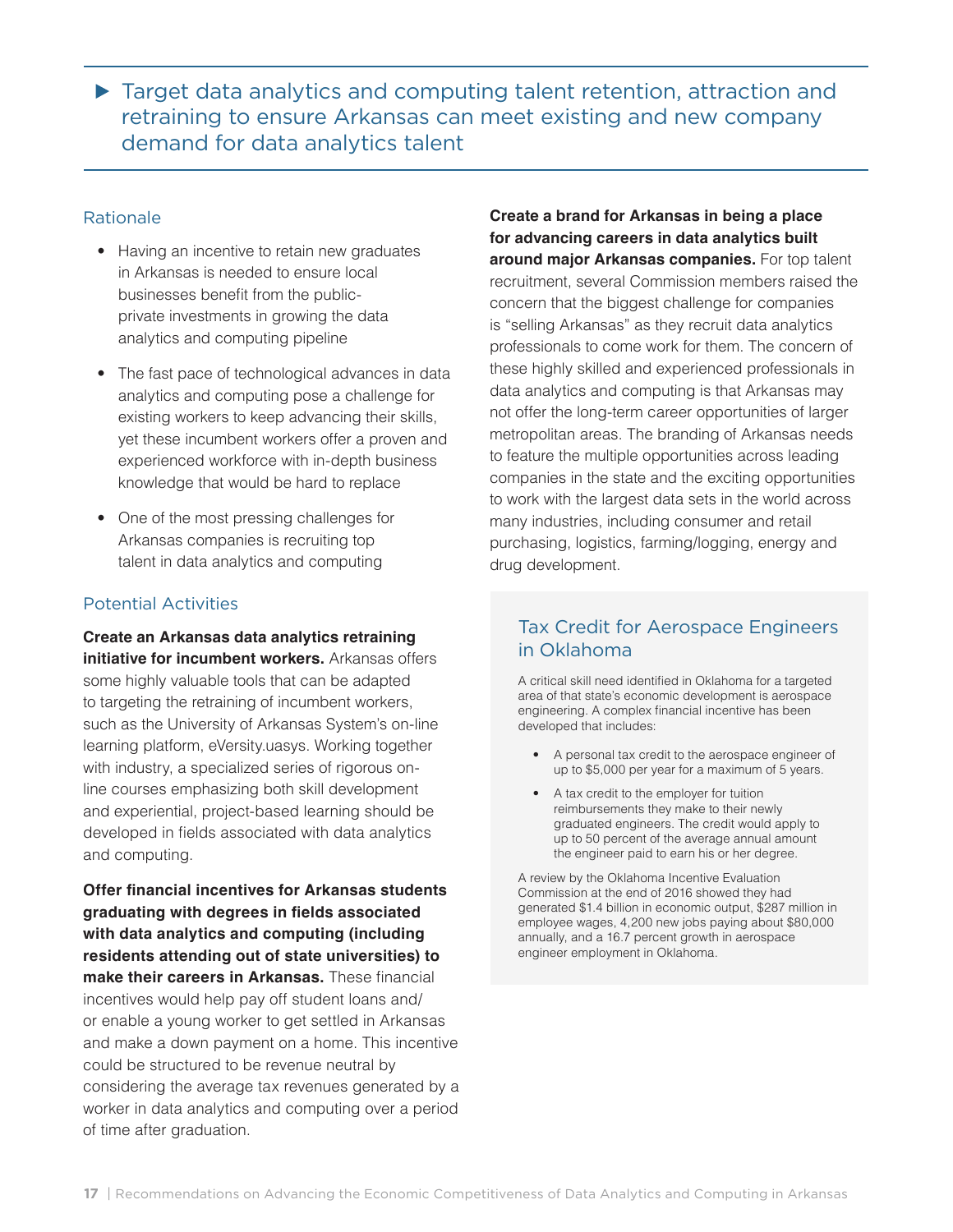▶ Target data analytics and computing talent retention, attraction and retraining to ensure Arkansas can meet existing and new company demand for data analytics talent

#### Rationale

- Having an incentive to retain new graduates in Arkansas is needed to ensure local businesses benefit from the publicprivate investments in growing the data analytics and computing pipeline
- The fast pace of technological advances in data analytics and computing pose a challenge for existing workers to keep advancing their skills, yet these incumbent workers offer a proven and experienced workforce with in-depth business knowledge that would be hard to replace
- One of the most pressing challenges for Arkansas companies is recruiting top talent in data analytics and computing

#### Potential Activities

**Create an Arkansas data analytics retraining initiative for incumbent workers.** Arkansas offers some highly valuable tools that can be adapted to targeting the retraining of incumbent workers, such as the University of Arkansas System's on-line learning platform, eVersity.uasys. Working together with industry, a specialized series of rigorous online courses emphasizing both skill development and experiential, project-based learning should be developed in fields associated with data analytics and computing.

**Offer financial incentives for Arkansas students graduating with degrees in fields associated with data analytics and computing (including residents attending out of state universities) to make their careers in Arkansas.** These financial incentives would help pay off student loans and/ or enable a young worker to get settled in Arkansas and make a down payment on a home. This incentive could be structured to be revenue neutral by considering the average tax revenues generated by a worker in data analytics and computing over a period of time after graduation.

**Create a brand for Arkansas in being a place for advancing careers in data analytics built around major Arkansas companies.** For top talent recruitment, several Commission members raised the concern that the biggest challenge for companies is "selling Arkansas" as they recruit data analytics professionals to come work for them. The concern of these highly skilled and experienced professionals in data analytics and computing is that Arkansas may not offer the long-term career opportunities of larger metropolitan areas. The branding of Arkansas needs to feature the multiple opportunities across leading companies in the state and the exciting opportunities to work with the largest data sets in the world across many industries, including consumer and retail purchasing, logistics, farming/logging, energy and drug development.

### Tax Credit for Aerospace Engineers in Oklahoma

A critical skill need identified in Oklahoma for a targeted area of that state's economic development is aerospace engineering. A complex financial incentive has been developed that includes:

- A personal tax credit to the aerospace engineer of up to \$5,000 per year for a maximum of 5 years.
- A tax credit to the employer for tuition reimbursements they make to their newly graduated engineers. The credit would apply to up to 50 percent of the average annual amount the engineer paid to earn his or her degree.

A review by the Oklahoma Incentive Evaluation Commission at the end of 2016 showed they had generated \$1.4 billion in economic output, \$287 million in employee wages, 4,200 new jobs paying about \$80,000 annually, and a 16.7 percent growth in aerospace engineer employment in Oklahoma.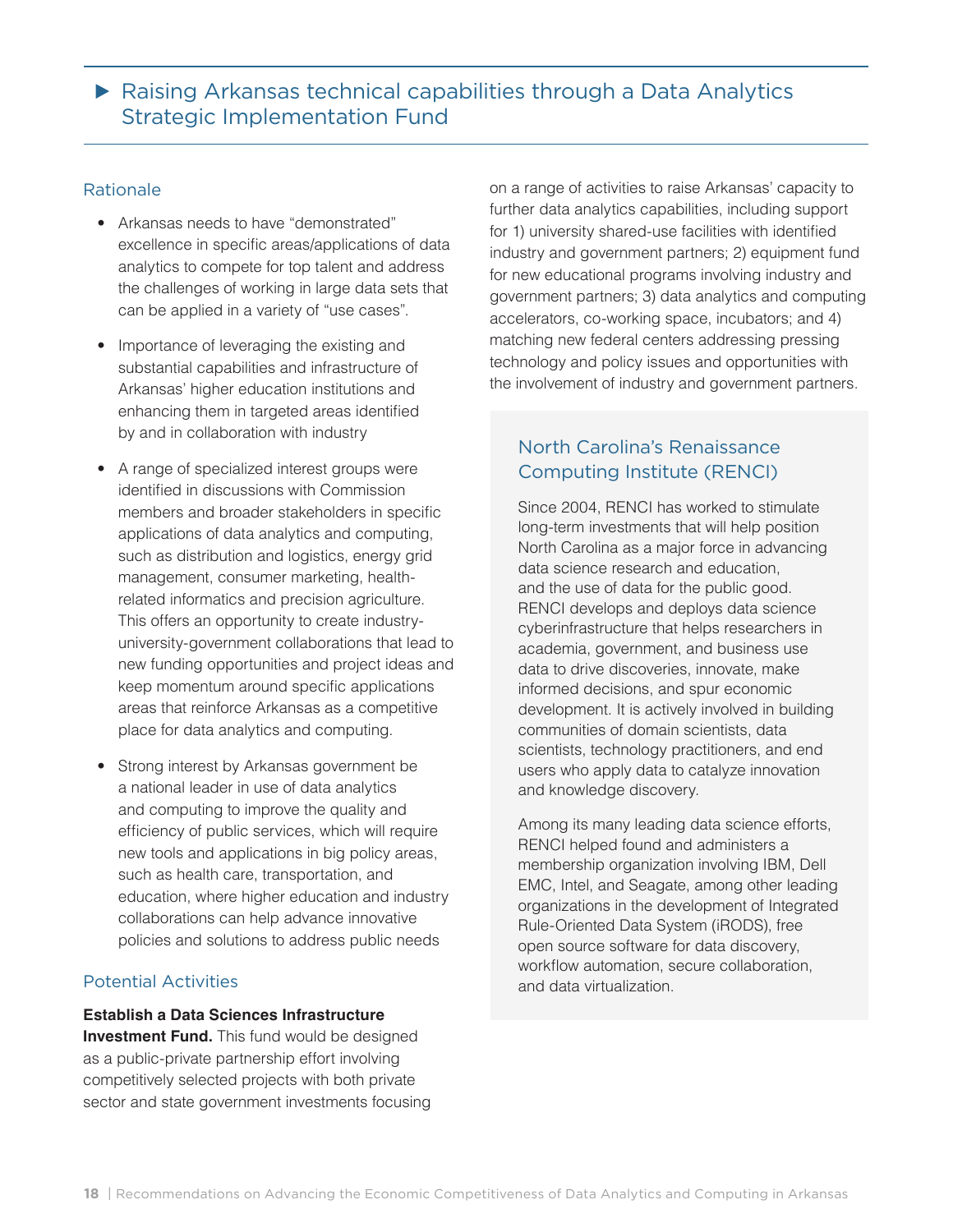#### Rationale

- Arkansas needs to have "demonstrated" excellence in specific areas/applications of data analytics to compete for top talent and address the challenges of working in large data sets that can be applied in a variety of "use cases".
- Importance of leveraging the existing and substantial capabilities and infrastructure of Arkansas' higher education institutions and enhancing them in targeted areas identified by and in collaboration with industry
- A range of specialized interest groups were identified in discussions with Commission members and broader stakeholders in specific applications of data analytics and computing, such as distribution and logistics, energy grid management, consumer marketing, healthrelated informatics and precision agriculture. This offers an opportunity to create industryuniversity-government collaborations that lead to new funding opportunities and project ideas and keep momentum around specific applications areas that reinforce Arkansas as a competitive place for data analytics and computing.
- Strong interest by Arkansas government be a national leader in use of data analytics and computing to improve the quality and efficiency of public services, which will require new tools and applications in big policy areas, such as health care, transportation, and education, where higher education and industry collaborations can help advance innovative policies and solutions to address public needs

#### Potential Activities

#### **Establish a Data Sciences Infrastructure**

**Investment Fund.** This fund would be designed as a public-private partnership effort involving competitively selected projects with both private sector and state government investments focusing on a range of activities to raise Arkansas' capacity to further data analytics capabilities, including support for 1) university shared-use facilities with identified industry and government partners; 2) equipment fund for new educational programs involving industry and government partners; 3) data analytics and computing accelerators, co-working space, incubators; and 4) matching new federal centers addressing pressing technology and policy issues and opportunities with the involvement of industry and government partners.

### North Carolina's Renaissance Computing Institute (RENCI)

Since 2004, RENCI has worked to stimulate long-term investments that will help position North Carolina as a major force in advancing data science research and education, and the use of data for the public good. RENCI develops and deploys data science cyberinfrastructure that helps researchers in academia, government, and business use data to drive discoveries, innovate, make informed decisions, and spur economic development. It is actively involved in building communities of domain scientists, data scientists, technology practitioners, and end users who apply data to catalyze innovation and knowledge discovery.

Among its many leading data science efforts, RENCI helped found and administers a membership organization involving IBM, Dell EMC, Intel, and Seagate, among other leading organizations in the development of Integrated Rule-Oriented Data System (iRODS), free open source software for data discovery, workflow automation, secure collaboration, and data virtualization.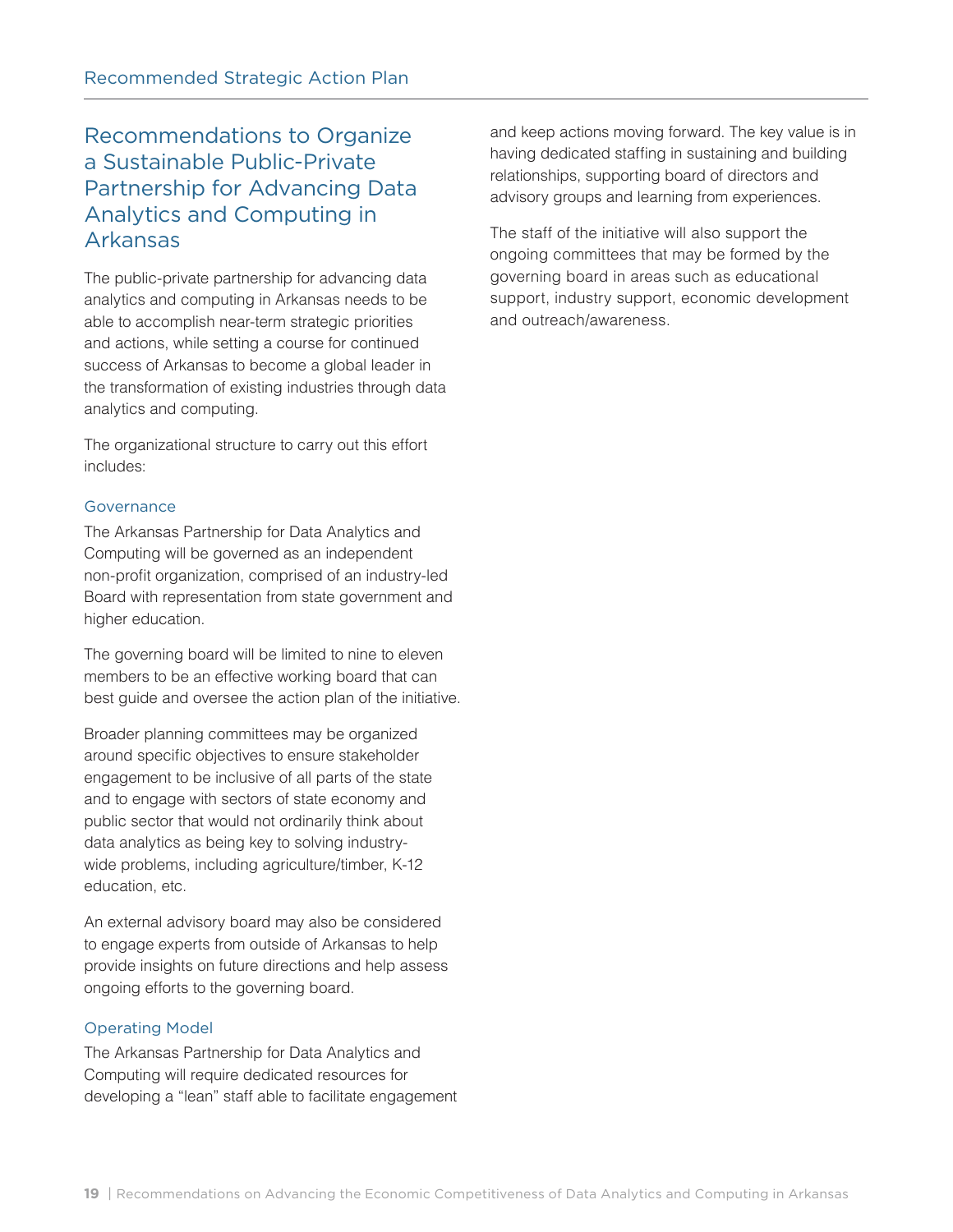## Recommendations to Organize a Sustainable Public-Private Partnership for Advancing Data Analytics and Computing in Arkansas

The public-private partnership for advancing data analytics and computing in Arkansas needs to be able to accomplish near-term strategic priorities and actions, while setting a course for continued success of Arkansas to become a global leader in the transformation of existing industries through data analytics and computing.

The organizational structure to carry out this effort includes:

#### Governance

The Arkansas Partnership for Data Analytics and Computing will be governed as an independent non-profit organization, comprised of an industry-led Board with representation from state government and higher education.

The governing board will be limited to nine to eleven members to be an effective working board that can best guide and oversee the action plan of the initiative.

Broader planning committees may be organized around specific objectives to ensure stakeholder engagement to be inclusive of all parts of the state and to engage with sectors of state economy and public sector that would not ordinarily think about data analytics as being key to solving industrywide problems, including agriculture/timber, K-12 education, etc.

An external advisory board may also be considered to engage experts from outside of Arkansas to help provide insights on future directions and help assess ongoing efforts to the governing board.

#### Operating Model

The Arkansas Partnership for Data Analytics and Computing will require dedicated resources for developing a "lean" staff able to facilitate engagement and keep actions moving forward. The key value is in having dedicated staffing in sustaining and building relationships, supporting board of directors and advisory groups and learning from experiences.

The staff of the initiative will also support the ongoing committees that may be formed by the governing board in areas such as educational support, industry support, economic development and outreach/awareness.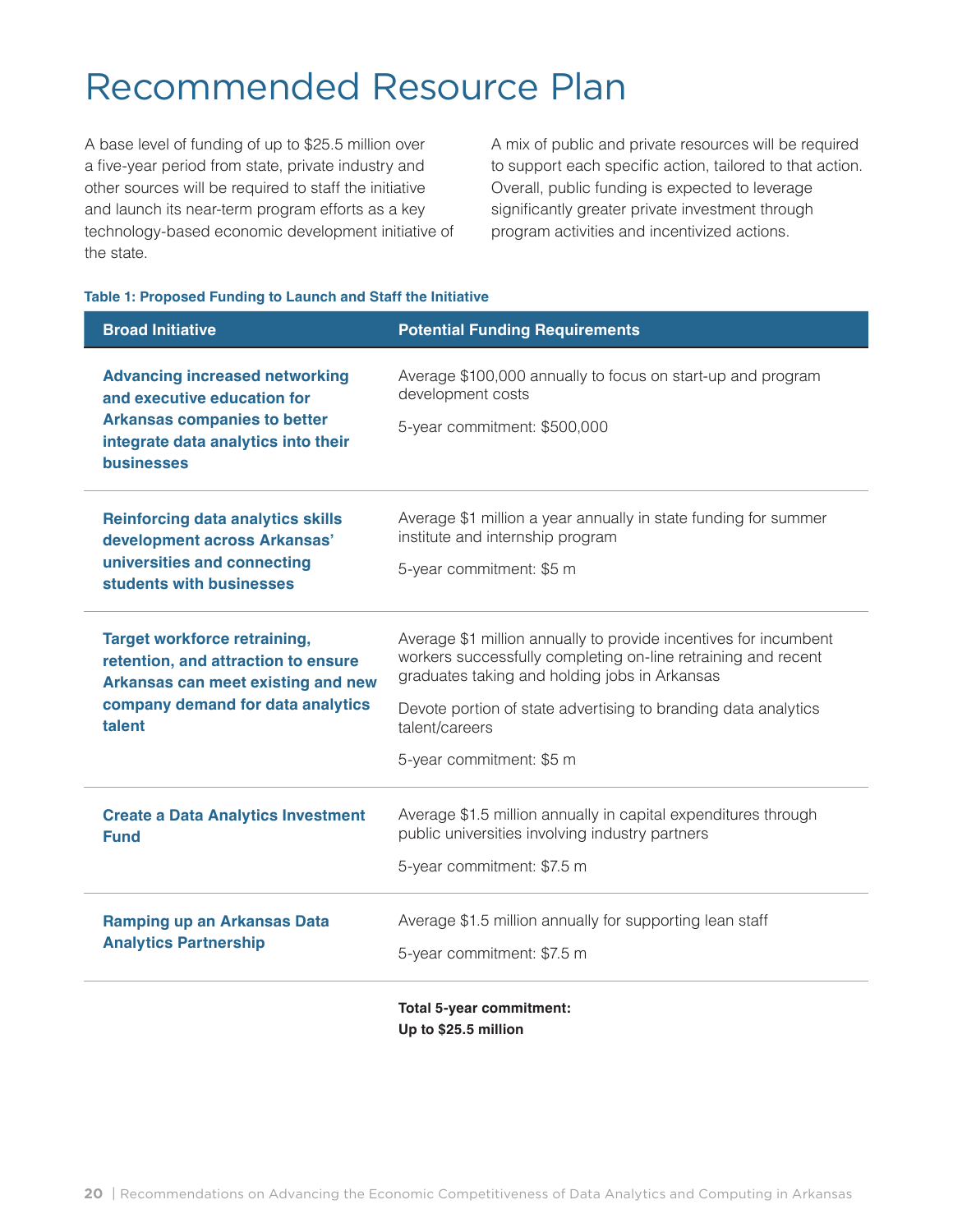## Recommended Resource Plan

A base level of funding of up to \$25.5 million over a five-year period from state, private industry and other sources will be required to staff the initiative and launch its near-term program efforts as a key technology-based economic development initiative of the state.

A mix of public and private resources will be required to support each specific action, tailored to that action. Overall, public funding is expected to leverage significantly greater private investment through program activities and incentivized actions.

#### **Table 1: Proposed Funding to Launch and Staff the Initiative**

| <b>Broad Initiative</b>                                                                                          | <b>Potential Funding Requirements</b>                                                                                                                                              |
|------------------------------------------------------------------------------------------------------------------|------------------------------------------------------------------------------------------------------------------------------------------------------------------------------------|
| <b>Advancing increased networking</b><br>and executive education for                                             | Average \$100,000 annually to focus on start-up and program<br>development costs                                                                                                   |
| <b>Arkansas companies to better</b><br>integrate data analytics into their<br><b>businesses</b>                  | 5-year commitment: \$500,000                                                                                                                                                       |
| <b>Reinforcing data analytics skills</b><br>development across Arkansas'                                         | Average \$1 million a year annually in state funding for summer<br>institute and internship program                                                                                |
| universities and connecting<br>students with businesses                                                          | 5-year commitment: \$5 m                                                                                                                                                           |
| <b>Target workforce retraining,</b><br>retention, and attraction to ensure<br>Arkansas can meet existing and new | Average \$1 million annually to provide incentives for incumbent<br>workers successfully completing on-line retraining and recent<br>graduates taking and holding jobs in Arkansas |
| company demand for data analytics<br>talent                                                                      | Devote portion of state advertising to branding data analytics<br>talent/careers                                                                                                   |
|                                                                                                                  | 5-year commitment: \$5 m                                                                                                                                                           |
| <b>Create a Data Analytics Investment</b><br><b>Fund</b>                                                         | Average \$1.5 million annually in capital expenditures through<br>public universities involving industry partners                                                                  |
|                                                                                                                  | 5-year commitment: \$7.5 m                                                                                                                                                         |
| <b>Ramping up an Arkansas Data</b><br><b>Analytics Partnership</b>                                               | Average \$1.5 million annually for supporting lean staff                                                                                                                           |
|                                                                                                                  | 5-year commitment: \$7.5 m                                                                                                                                                         |
|                                                                                                                  | <b>Total 5-year commitment:</b>                                                                                                                                                    |
|                                                                                                                  | Up to \$25.5 million                                                                                                                                                               |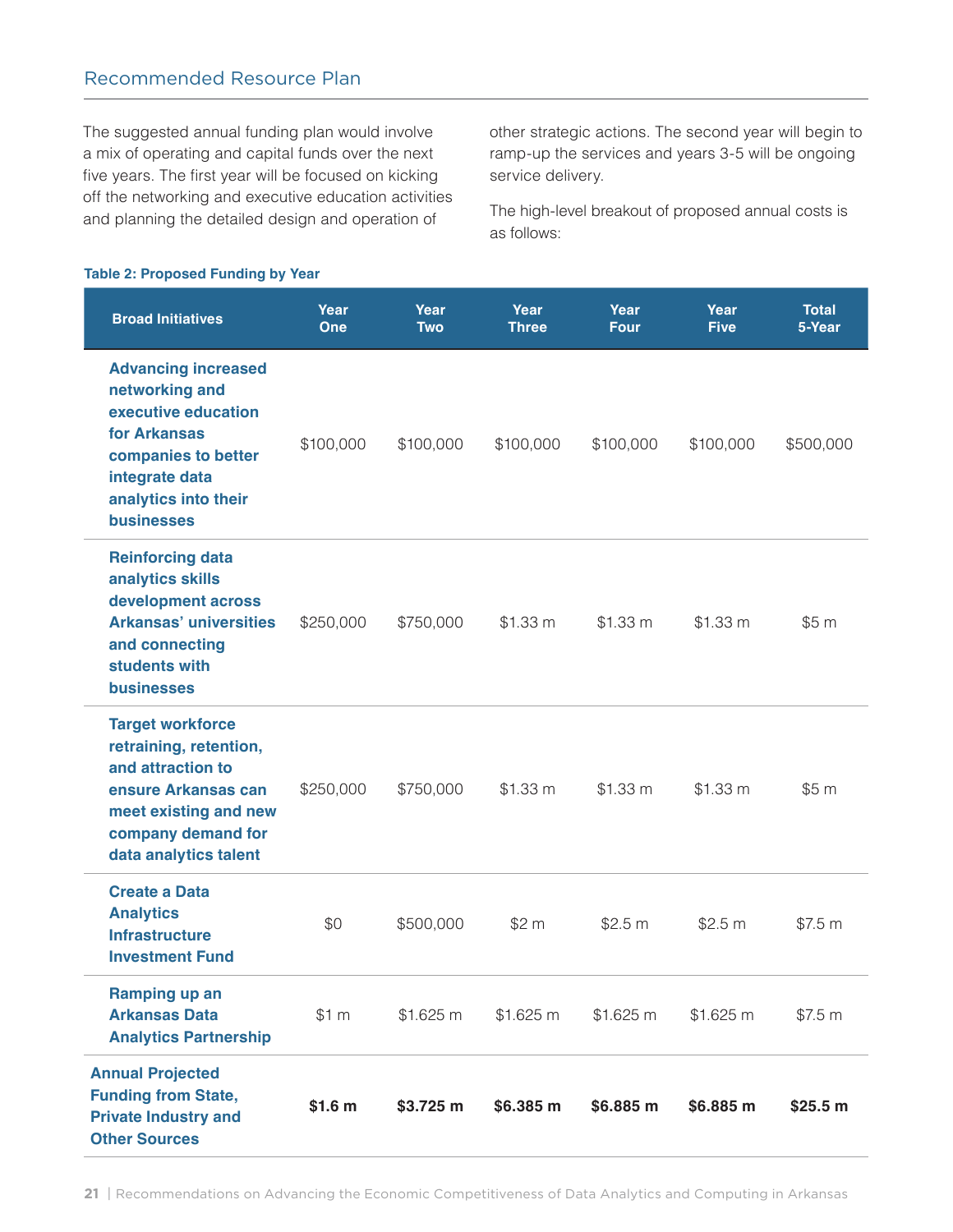### Recommended Resource Plan

The suggested annual funding plan would involve a mix of operating and capital funds over the next five years. The first year will be focused on kicking off the networking and executive education activities and planning the detailed design and operation of

other strategic actions. The second year will begin to ramp-up the services and years 3-5 will be ongoing service delivery.

The high-level breakout of proposed annual costs is as follows:

#### **Table 2: Proposed Funding by Year**

| <b>Broad Initiatives</b>                                                                                                                                                  | Year<br>One | Year<br><b>Two</b> | Year<br><b>Three</b> | Year<br>Four | Year<br><b>Five</b> | <b>Total</b><br>5-Year |
|---------------------------------------------------------------------------------------------------------------------------------------------------------------------------|-------------|--------------------|----------------------|--------------|---------------------|------------------------|
| <b>Advancing increased</b><br>networking and<br>executive education<br>for Arkansas<br>companies to better<br>integrate data<br>analytics into their<br><b>businesses</b> | \$100,000   | \$100,000          | \$100,000            | \$100,000    | \$100,000           | \$500,000              |
| <b>Reinforcing data</b><br>analytics skills<br>development across<br><b>Arkansas' universities</b><br>and connecting<br>students with<br><b>businesses</b>                | \$250,000   | \$750,000          | \$1.33 m             | \$1.33 m     | \$1.33 m            | \$5 m                  |
| <b>Target workforce</b><br>retraining, retention,<br>and attraction to<br>ensure Arkansas can<br>meet existing and new<br>company demand for<br>data analytics talent     | \$250,000   | \$750,000          | \$1.33 m             | \$1.33 m     | \$1.33 m            | \$5 m                  |
| <b>Create a Data</b><br><b>Analytics</b><br><b>Infrastructure</b><br><b>Investment Fund</b>                                                                               | \$0         | \$500,000          | \$2 m                | \$2.5 m      | \$2.5 m             | \$7.5 m                |
| Ramping up an<br><b>Arkansas Data</b><br><b>Analytics Partnership</b>                                                                                                     | \$1 m       | \$1.625 m          | \$1.625 m            | \$1.625 m    | \$1.625 m           | \$7.5 m                |
| <b>Annual Projected</b><br><b>Funding from State,</b><br><b>Private Industry and</b><br><b>Other Sources</b>                                                              | \$1.6 m     | \$3.725 m          | \$6.385 m            | \$6.885 m    | \$6.885 m           | \$25.5 m               |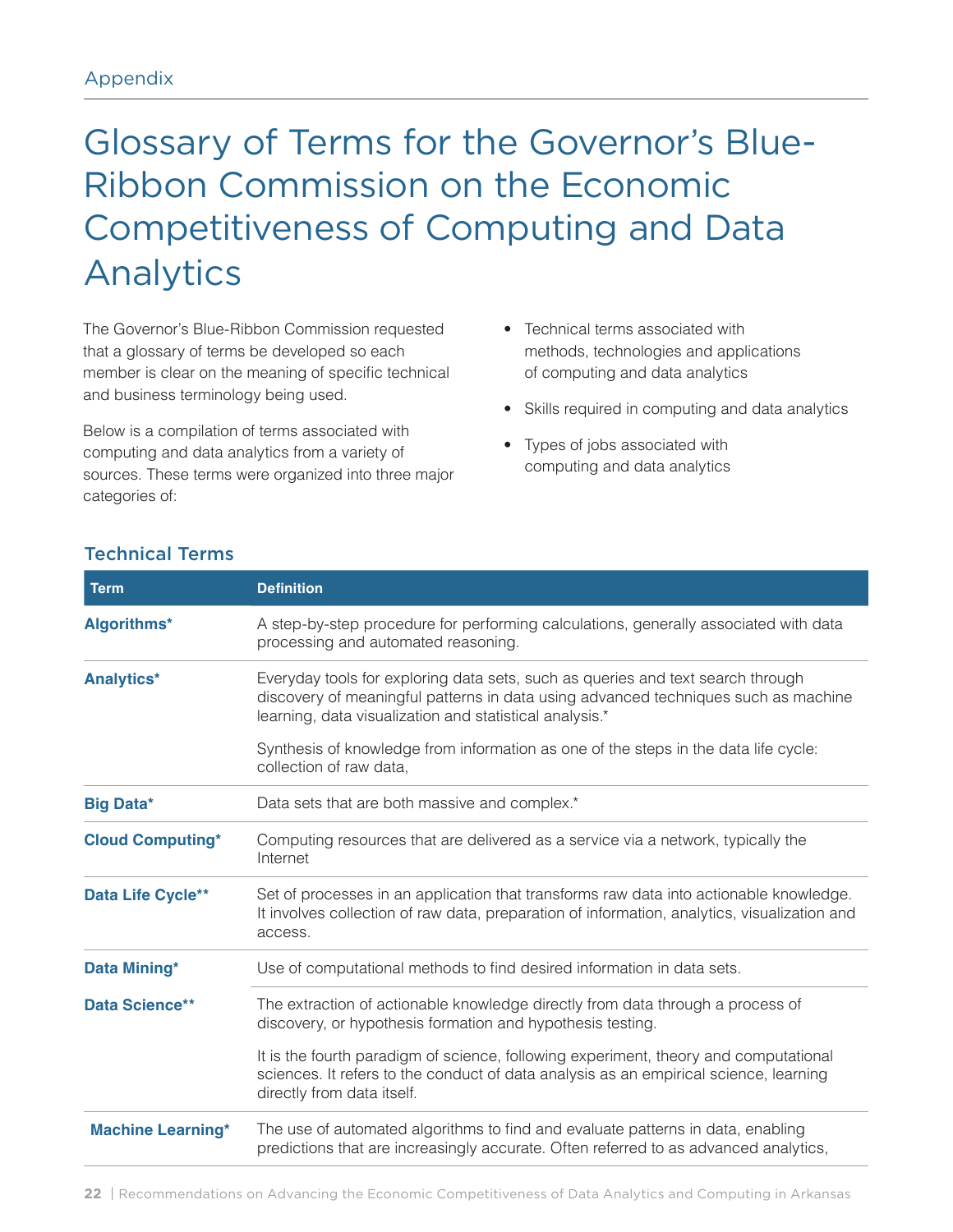## Glossary of Terms for the Governor's Blue-Ribbon Commission on the Economic Competitiveness of Computing and Data Analytics

The Governor's Blue-Ribbon Commission requested that a glossary of terms be developed so each member is clear on the meaning of specific technical and business terminology being used.

Below is a compilation of terms associated with computing and data analytics from a variety of sources. These terms were organized into three major categories of:

- Technical terms associated with methods, technologies and applications of computing and data analytics
- Skills required in computing and data analytics
- Types of jobs associated with computing and data analytics

| <b>Term</b>              | <b>Definition</b>                                                                                                                                                                                                                |
|--------------------------|----------------------------------------------------------------------------------------------------------------------------------------------------------------------------------------------------------------------------------|
| Algorithms*              | A step-by-step procedure for performing calculations, generally associated with data<br>processing and automated reasoning.                                                                                                      |
| <b>Analytics*</b>        | Everyday tools for exploring data sets, such as queries and text search through<br>discovery of meaningful patterns in data using advanced techniques such as machine<br>learning, data visualization and statistical analysis.* |
|                          | Synthesis of knowledge from information as one of the steps in the data life cycle:<br>collection of raw data,                                                                                                                   |
| <b>Big Data*</b>         | Data sets that are both massive and complex.*                                                                                                                                                                                    |
| <b>Cloud Computing*</b>  | Computing resources that are delivered as a service via a network, typically the<br>Internet                                                                                                                                     |
| Data Life Cycle**        | Set of processes in an application that transforms raw data into actionable knowledge.<br>It involves collection of raw data, preparation of information, analytics, visualization and<br>access.                                |
| Data Mining*             | Use of computational methods to find desired information in data sets.                                                                                                                                                           |
| <b>Data Science**</b>    | The extraction of actionable knowledge directly from data through a process of<br>discovery, or hypothesis formation and hypothesis testing.                                                                                     |
|                          | It is the fourth paradigm of science, following experiment, theory and computational<br>sciences. It refers to the conduct of data analysis as an empirical science, learning<br>directly from data itself.                      |
| <b>Machine Learning*</b> | The use of automated algorithms to find and evaluate patterns in data, enabling<br>predictions that are increasingly accurate. Often referred to as advanced analytics,                                                          |

#### Technical Terms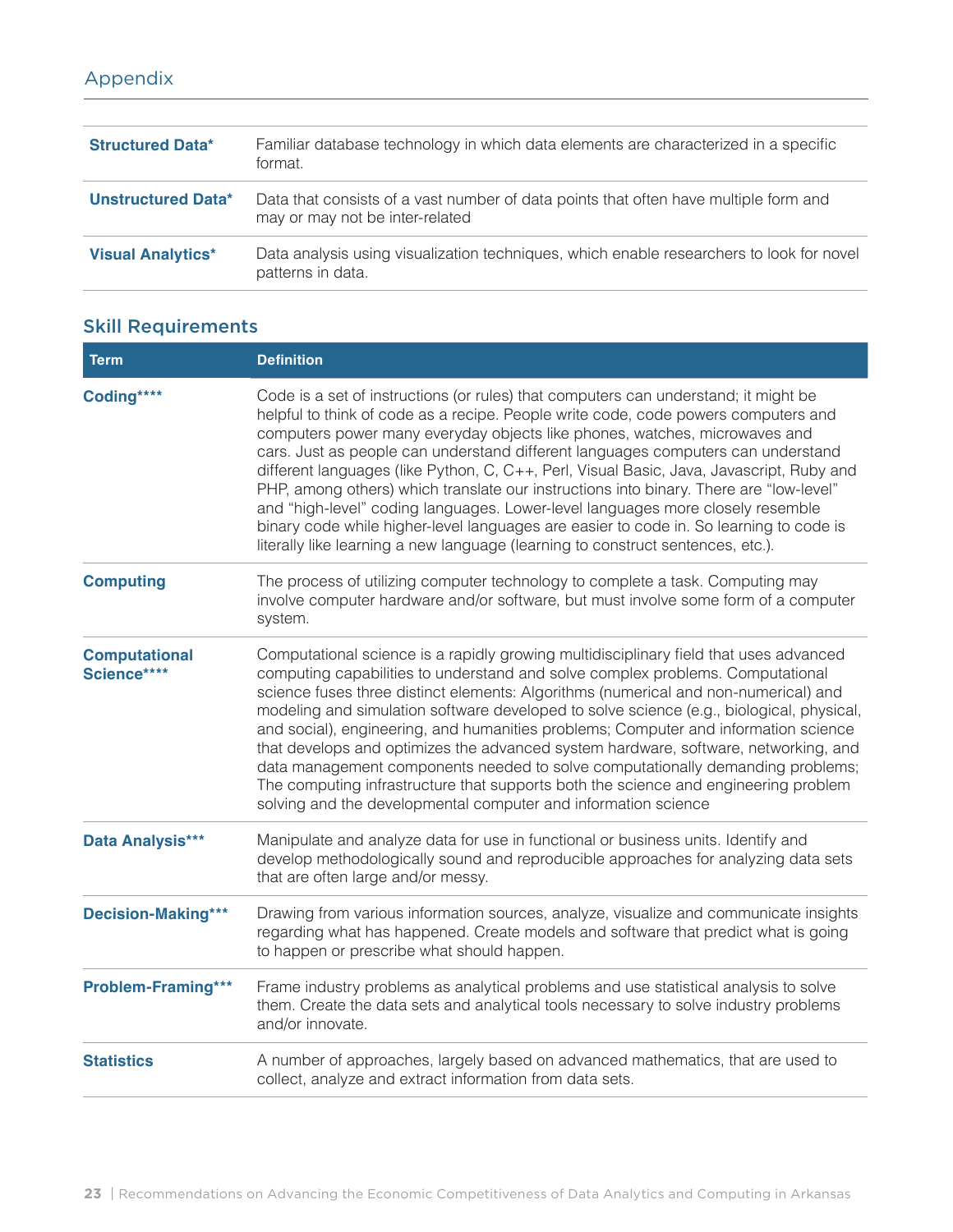## Appendix

| <b>Structured Data*</b>   | Familiar database technology in which data elements are characterized in a specific<br>format.                          |
|---------------------------|-------------------------------------------------------------------------------------------------------------------------|
| <b>Unstructured Data*</b> | Data that consists of a vast number of data points that often have multiple form and<br>may or may not be inter-related |
| <b>Visual Analytics*</b>  | Data analysis using visualization techniques, which enable researchers to look for novel<br>patterns in data.           |

## Skill Requirements

| <b>Term</b>                         | <b>Definition</b>                                                                                                                                                                                                                                                                                                                                                                                                                                                                                                                                                                                                                                                                                                                                                                                |
|-------------------------------------|--------------------------------------------------------------------------------------------------------------------------------------------------------------------------------------------------------------------------------------------------------------------------------------------------------------------------------------------------------------------------------------------------------------------------------------------------------------------------------------------------------------------------------------------------------------------------------------------------------------------------------------------------------------------------------------------------------------------------------------------------------------------------------------------------|
| Coding****                          | Code is a set of instructions (or rules) that computers can understand; it might be<br>helpful to think of code as a recipe. People write code, code powers computers and<br>computers power many everyday objects like phones, watches, microwaves and<br>cars. Just as people can understand different languages computers can understand<br>different languages (like Python, C, C++, Perl, Visual Basic, Java, Javascript, Ruby and<br>PHP, among others) which translate our instructions into binary. There are "low-level"<br>and "high-level" coding languages. Lower-level languages more closely resemble<br>binary code while higher-level languages are easier to code in. So learning to code is<br>literally like learning a new language (learning to construct sentences, etc.). |
| <b>Computing</b>                    | The process of utilizing computer technology to complete a task. Computing may<br>involve computer hardware and/or software, but must involve some form of a computer<br>system.                                                                                                                                                                                                                                                                                                                                                                                                                                                                                                                                                                                                                 |
| <b>Computational</b><br>Science**** | Computational science is a rapidly growing multidisciplinary field that uses advanced<br>computing capabilities to understand and solve complex problems. Computational<br>science fuses three distinct elements: Algorithms (numerical and non-numerical) and<br>modeling and simulation software developed to solve science (e.g., biological, physical,<br>and social), engineering, and humanities problems; Computer and information science<br>that develops and optimizes the advanced system hardware, software, networking, and<br>data management components needed to solve computationally demanding problems;<br>The computing infrastructure that supports both the science and engineering problem<br>solving and the developmental computer and information science              |
| Data Analysis***                    | Manipulate and analyze data for use in functional or business units. Identify and<br>develop methodologically sound and reproducible approaches for analyzing data sets<br>that are often large and/or messy.                                                                                                                                                                                                                                                                                                                                                                                                                                                                                                                                                                                    |
| <b>Decision-Making***</b>           | Drawing from various information sources, analyze, visualize and communicate insights<br>regarding what has happened. Create models and software that predict what is going<br>to happen or prescribe what should happen.                                                                                                                                                                                                                                                                                                                                                                                                                                                                                                                                                                        |
| Problem-Framing***                  | Frame industry problems as analytical problems and use statistical analysis to solve<br>them. Create the data sets and analytical tools necessary to solve industry problems<br>and/or innovate.                                                                                                                                                                                                                                                                                                                                                                                                                                                                                                                                                                                                 |
| <b>Statistics</b>                   | A number of approaches, largely based on advanced mathematics, that are used to<br>collect, analyze and extract information from data sets.                                                                                                                                                                                                                                                                                                                                                                                                                                                                                                                                                                                                                                                      |